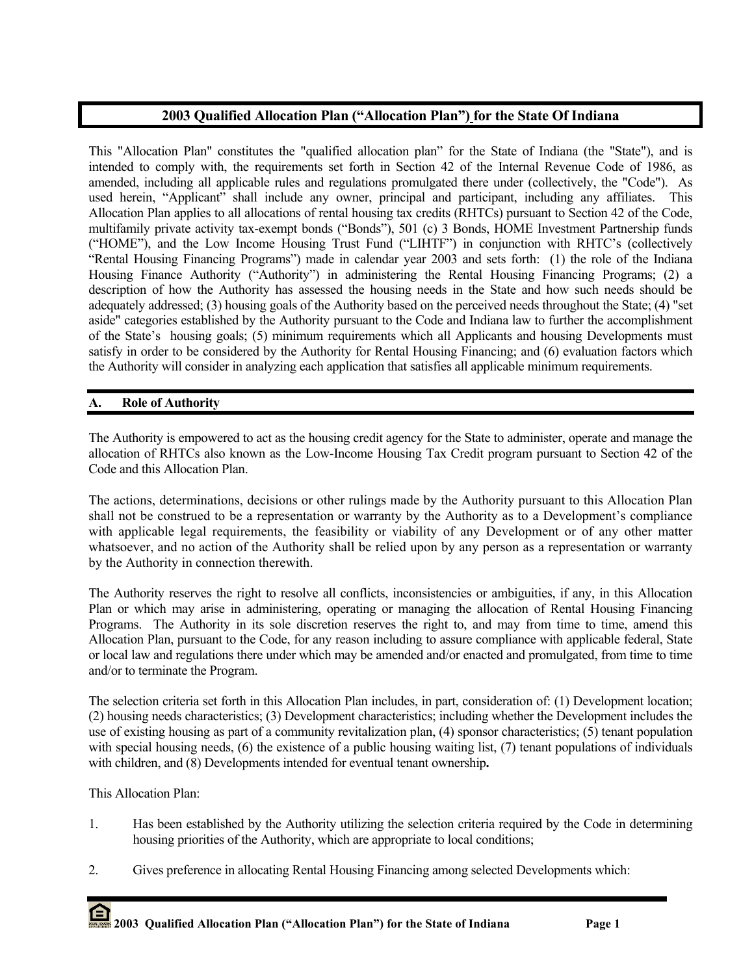# **2003 Qualified Allocation Plan ("Allocation Plan") for the State Of Indiana**

This "Allocation Plan" constitutes the "qualified allocation plan" for the State of Indiana (the "State"), and is intended to comply with, the requirements set forth in Section 42 of the Internal Revenue Code of 1986, as amended, including all applicable rules and regulations promulgated there under (collectively, the "Code"). As used herein, "Applicant" shall include any owner, principal and participant, including any affiliates. This Allocation Plan applies to all allocations of rental housing tax credits (RHTCs) pursuant to Section 42 of the Code, multifamily private activity tax-exempt bonds ("Bonds"), 501 (c) 3 Bonds, HOME Investment Partnership funds ("HOME"), and the Low Income Housing Trust Fund ("LIHTF") in conjunction with RHTC's (collectively "Rental Housing Financing Programs") made in calendar year 2003 and sets forth: (1) the role of the Indiana Housing Finance Authority ("Authority") in administering the Rental Housing Financing Programs; (2) a description of how the Authority has assessed the housing needs in the State and how such needs should be adequately addressed; (3) housing goals of the Authority based on the perceived needs throughout the State; (4) "set aside" categories established by the Authority pursuant to the Code and Indiana law to further the accomplishment of the State's housing goals; (5) minimum requirements which all Applicants and housing Developments must satisfy in order to be considered by the Authority for Rental Housing Financing; and (6) evaluation factors which the Authority will consider in analyzing each application that satisfies all applicable minimum requirements.

## **A. Role of Authority**

The Authority is empowered to act as the housing credit agency for the State to administer, operate and manage the allocation of RHTCs also known as the Low-Income Housing Tax Credit program pursuant to Section 42 of the Code and this Allocation Plan.

The actions, determinations, decisions or other rulings made by the Authority pursuant to this Allocation Plan shall not be construed to be a representation or warranty by the Authority as to a Development's compliance with applicable legal requirements, the feasibility or viability of any Development or of any other matter whatsoever, and no action of the Authority shall be relied upon by any person as a representation or warranty by the Authority in connection therewith.

The Authority reserves the right to resolve all conflicts, inconsistencies or ambiguities, if any, in this Allocation Plan or which may arise in administering, operating or managing the allocation of Rental Housing Financing Programs. The Authority in its sole discretion reserves the right to, and may from time to time, amend this Allocation Plan, pursuant to the Code, for any reason including to assure compliance with applicable federal, State or local law and regulations there under which may be amended and/or enacted and promulgated, from time to time and/or to terminate the Program.

The selection criteria set forth in this Allocation Plan includes, in part, consideration of: (1) Development location; (2) housing needs characteristics; (3) Development characteristics; including whether the Development includes the use of existing housing as part of a community revitalization plan, (4) sponsor characteristics; (5) tenant population with special housing needs, (6) the existence of a public housing waiting list, (7) tenant populations of individuals with children, and (8) Developments intended for eventual tenant ownership**.** 

This Allocation Plan:

- 1. Has been established by the Authority utilizing the selection criteria required by the Code in determining housing priorities of the Authority, which are appropriate to local conditions;
- 2. Gives preference in allocating Rental Housing Financing among selected Developments which: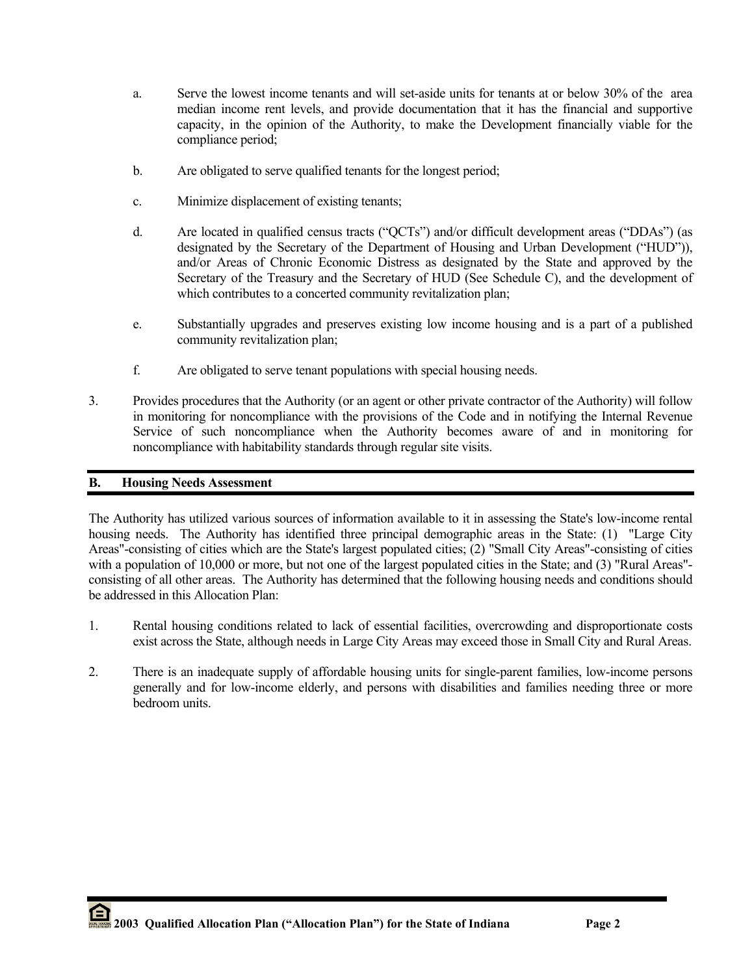- a. Serve the lowest income tenants and will set-aside units for tenants at or below 30% of the area median income rent levels, and provide documentation that it has the financial and supportive capacity, in the opinion of the Authority, to make the Development financially viable for the compliance period;
- b. Are obligated to serve qualified tenants for the longest period;
- c. Minimize displacement of existing tenants;
- d. Are located in qualified census tracts ("QCTs") and/or difficult development areas ("DDAs") (as designated by the Secretary of the Department of Housing and Urban Development ("HUD")), and/or Areas of Chronic Economic Distress as designated by the State and approved by the Secretary of the Treasury and the Secretary of HUD (See Schedule C), and the development of which contributes to a concerted community revitalization plan;
- e. Substantially upgrades and preserves existing low income housing and is a part of a published community revitalization plan;
- f. Are obligated to serve tenant populations with special housing needs.
- 3. Provides procedures that the Authority (or an agent or other private contractor of the Authority) will follow in monitoring for noncompliance with the provisions of the Code and in notifying the Internal Revenue Service of such noncompliance when the Authority becomes aware of and in monitoring for noncompliance with habitability standards through regular site visits.

# **B. Housing Needs Assessment**

The Authority has utilized various sources of information available to it in assessing the State's low-income rental housing needs. The Authority has identified three principal demographic areas in the State: (1) "Large City Areas"-consisting of cities which are the State's largest populated cities; (2) "Small City Areas"-consisting of cities with a population of 10,000 or more, but not one of the largest populated cities in the State; and (3) "Rural Areas"consisting of all other areas. The Authority has determined that the following housing needs and conditions should be addressed in this Allocation Plan:

- 1. Rental housing conditions related to lack of essential facilities, overcrowding and disproportionate costs exist across the State, although needs in Large City Areas may exceed those in Small City and Rural Areas.
- 2. There is an inadequate supply of affordable housing units for single-parent families, low-income persons generally and for low-income elderly, and persons with disabilities and families needing three or more bedroom units.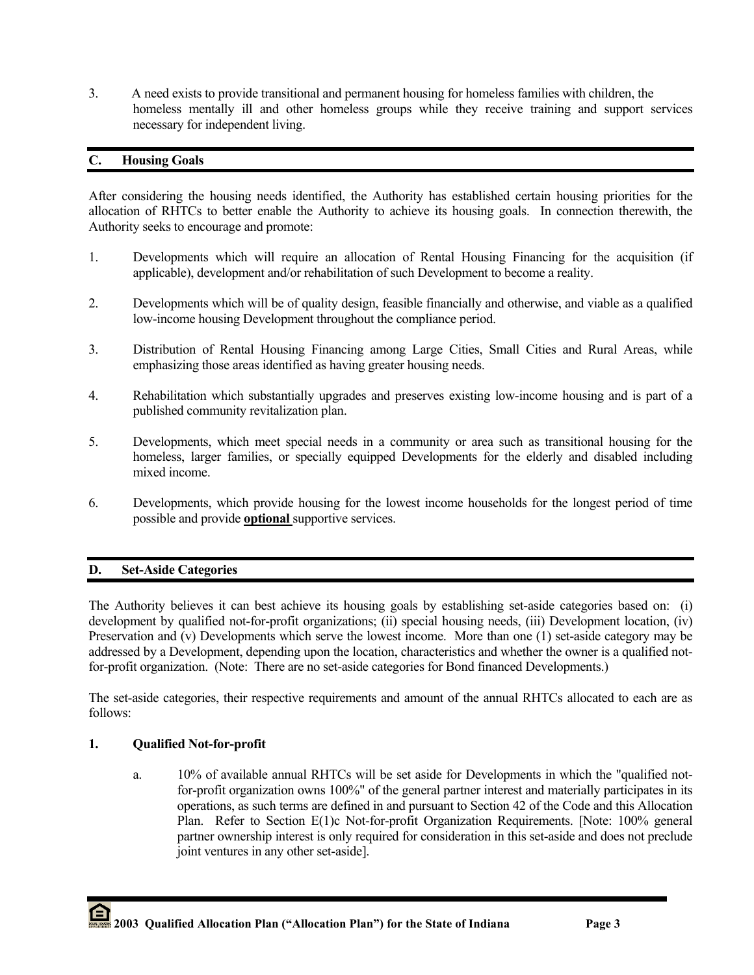3. A need exists to provide transitional and permanent housing for homeless families with children, the homeless mentally ill and other homeless groups while they receive training and support services necessary for independent living.

## **C. Housing Goals**

After considering the housing needs identified, the Authority has established certain housing priorities for the allocation of RHTCs to better enable the Authority to achieve its housing goals. In connection therewith, the Authority seeks to encourage and promote:

- 1. Developments which will require an allocation of Rental Housing Financing for the acquisition (if applicable), development and/or rehabilitation of such Development to become a reality.
- 2. Developments which will be of quality design, feasible financially and otherwise, and viable as a qualified low-income housing Development throughout the compliance period.
- 3. Distribution of Rental Housing Financing among Large Cities, Small Cities and Rural Areas, while emphasizing those areas identified as having greater housing needs.
- 4. Rehabilitation which substantially upgrades and preserves existing low-income housing and is part of a published community revitalization plan.
- 5. Developments, which meet special needs in a community or area such as transitional housing for the homeless, larger families, or specially equipped Developments for the elderly and disabled including mixed income.
- 6. Developments, which provide housing for the lowest income households for the longest period of time possible and provide **optional** supportive services.

## **D. Set-Aside Categories**

The Authority believes it can best achieve its housing goals by establishing set-aside categories based on: (i) development by qualified not-for-profit organizations; (ii) special housing needs, (iii) Development location, (iv) Preservation and (v) Developments which serve the lowest income. More than one (1) set-aside category may be addressed by a Development, depending upon the location, characteristics and whether the owner is a qualified notfor-profit organization. (Note: There are no set-aside categories for Bond financed Developments.)

The set-aside categories, their respective requirements and amount of the annual RHTCs allocated to each are as follows:

## **1. Qualified Not-for-profit**

 a. 10% of available annual RHTCs will be set aside for Developments in which the "qualified notfor-profit organization owns 100%" of the general partner interest and materially participates in its operations, as such terms are defined in and pursuant to Section 42 of the Code and this Allocation Plan. Refer to Section E(1)c Not-for-profit Organization Requirements. [Note: 100% general partner ownership interest is only required for consideration in this set-aside and does not preclude joint ventures in any other set-aside].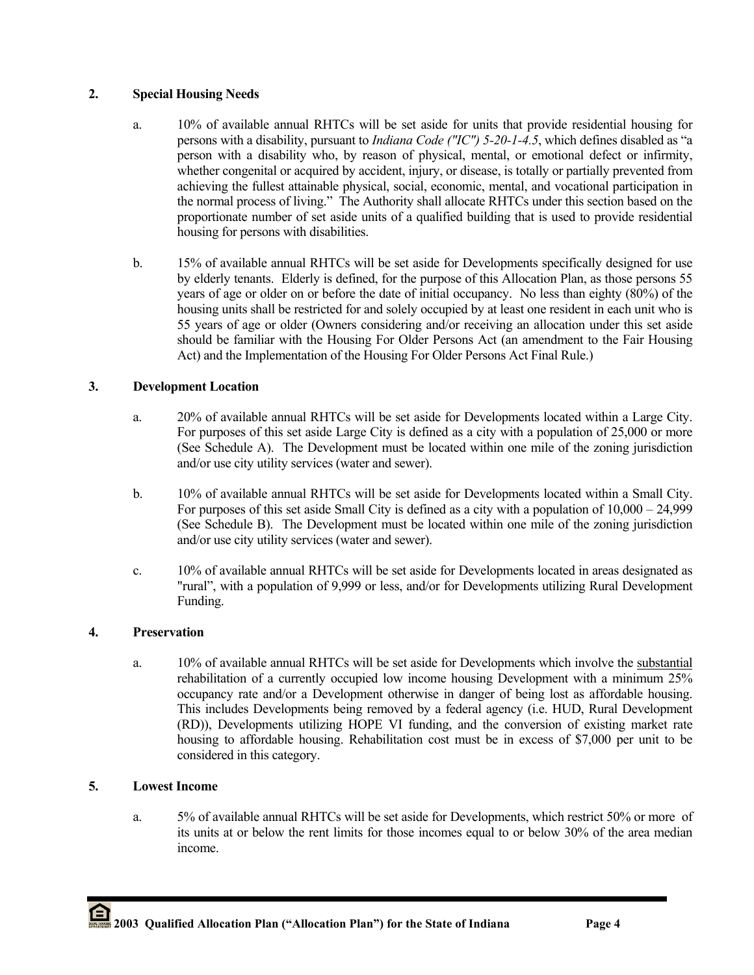# **2. Special Housing Needs**

- a. 10% of available annual RHTCs will be set aside for units that provide residential housing for persons with a disability, pursuant to *Indiana Code ("IC") 5-20-1-4.5*, which defines disabled as "a person with a disability who, by reason of physical, mental, or emotional defect or infirmity, whether congenital or acquired by accident, injury, or disease, is totally or partially prevented from achieving the fullest attainable physical, social, economic, mental, and vocational participation in the normal process of living." The Authority shall allocate RHTCs under this section based on the proportionate number of set aside units of a qualified building that is used to provide residential housing for persons with disabilities.
- b. 15% of available annual RHTCs will be set aside for Developments specifically designed for use by elderly tenants. Elderly is defined, for the purpose of this Allocation Plan, as those persons 55 years of age or older on or before the date of initial occupancy. No less than eighty (80%) of the housing units shall be restricted for and solely occupied by at least one resident in each unit who is 55 years of age or older (Owners considering and/or receiving an allocation under this set aside should be familiar with the Housing For Older Persons Act (an amendment to the Fair Housing Act) and the Implementation of the Housing For Older Persons Act Final Rule.)

# **3. Development Location**

- a. 20% of available annual RHTCs will be set aside for Developments located within a Large City. For purposes of this set aside Large City is defined as a city with a population of 25,000 or more (See Schedule A). The Development must be located within one mile of the zoning jurisdiction and/or use city utility services (water and sewer).
- b. 10% of available annual RHTCs will be set aside for Developments located within a Small City. For purposes of this set aside Small City is defined as a city with a population of 10,000 – 24,999 (See Schedule B). The Development must be located within one mile of the zoning jurisdiction and/or use city utility services (water and sewer).
- c. 10% of available annual RHTCs will be set aside for Developments located in areas designated as "rural", with a population of 9,999 or less, and/or for Developments utilizing Rural Development Funding.

## **4. Preservation**

a. 10% of available annual RHTCs will be set aside for Developments which involve the substantial rehabilitation of a currently occupied low income housing Development with a minimum 25% occupancy rate and/or a Development otherwise in danger of being lost as affordable housing. This includes Developments being removed by a federal agency (i.e. HUD, Rural Development (RD)), Developments utilizing HOPE VI funding, and the conversion of existing market rate housing to affordable housing. Rehabilitation cost must be in excess of \$7,000 per unit to be considered in this category.

# **5. Lowest Income**

a. 5% of available annual RHTCs will be set aside for Developments, which restrict 50% or more of its units at or below the rent limits for those incomes equal to or below 30% of the area median income.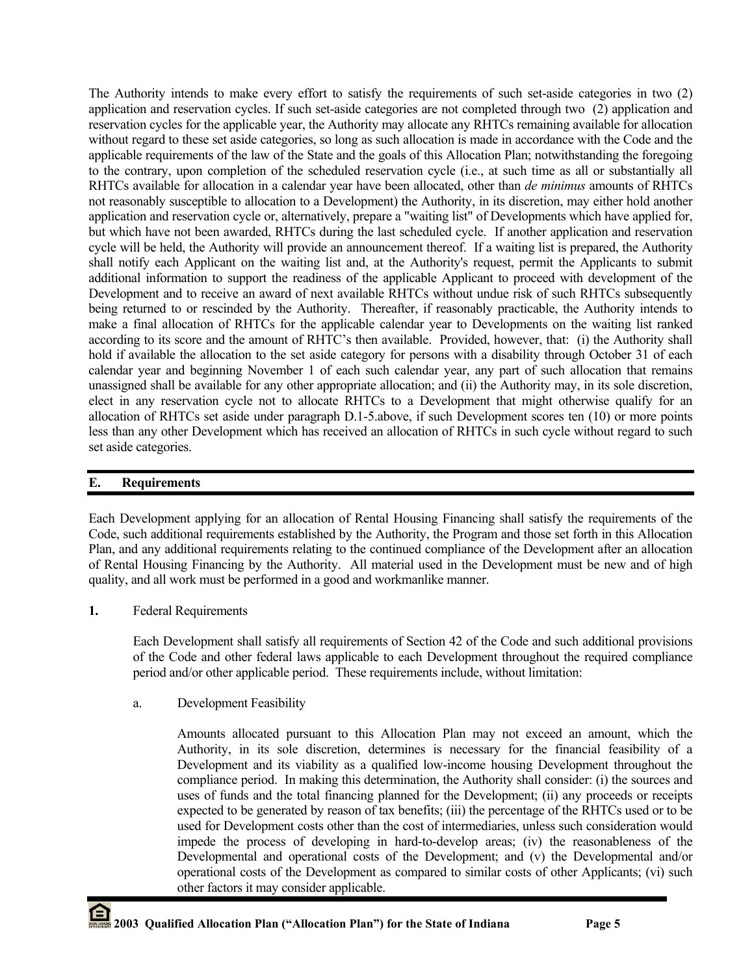The Authority intends to make every effort to satisfy the requirements of such set-aside categories in two (2) application and reservation cycles. If such set-aside categories are not completed through two (2) application and reservation cycles for the applicable year, the Authority may allocate any RHTCs remaining available for allocation without regard to these set aside categories, so long as such allocation is made in accordance with the Code and the applicable requirements of the law of the State and the goals of this Allocation Plan; notwithstanding the foregoing to the contrary, upon completion of the scheduled reservation cycle (i.e., at such time as all or substantially all RHTCs available for allocation in a calendar year have been allocated, other than *de minimus* amounts of RHTCs not reasonably susceptible to allocation to a Development) the Authority, in its discretion, may either hold another application and reservation cycle or, alternatively, prepare a "waiting list" of Developments which have applied for, but which have not been awarded, RHTCs during the last scheduled cycle. If another application and reservation cycle will be held, the Authority will provide an announcement thereof. If a waiting list is prepared, the Authority shall notify each Applicant on the waiting list and, at the Authority's request, permit the Applicants to submit additional information to support the readiness of the applicable Applicant to proceed with development of the Development and to receive an award of next available RHTCs without undue risk of such RHTCs subsequently being returned to or rescinded by the Authority. Thereafter, if reasonably practicable, the Authority intends to make a final allocation of RHTCs for the applicable calendar year to Developments on the waiting list ranked according to its score and the amount of RHTC's then available. Provided, however, that: (i) the Authority shall hold if available the allocation to the set aside category for persons with a disability through October 31 of each calendar year and beginning November 1 of each such calendar year, any part of such allocation that remains unassigned shall be available for any other appropriate allocation; and (ii) the Authority may, in its sole discretion, elect in any reservation cycle not to allocate RHTCs to a Development that might otherwise qualify for an allocation of RHTCs set aside under paragraph D.1-5.above, if such Development scores ten (10) or more points less than any other Development which has received an allocation of RHTCs in such cycle without regard to such set aside categories.

# **E. Requirements**

Each Development applying for an allocation of Rental Housing Financing shall satisfy the requirements of the Code, such additional requirements established by the Authority, the Program and those set forth in this Allocation Plan, and any additional requirements relating to the continued compliance of the Development after an allocation of Rental Housing Financing by the Authority. All material used in the Development must be new and of high quality, and all work must be performed in a good and workmanlike manner.

**1.** Federal Requirements

Each Development shall satisfy all requirements of Section 42 of the Code and such additional provisions of the Code and other federal laws applicable to each Development throughout the required compliance period and/or other applicable period. These requirements include, without limitation:

a. Development Feasibility

Amounts allocated pursuant to this Allocation Plan may not exceed an amount, which the Authority, in its sole discretion, determines is necessary for the financial feasibility of a Development and its viability as a qualified low-income housing Development throughout the compliance period. In making this determination, the Authority shall consider: (i) the sources and uses of funds and the total financing planned for the Development; (ii) any proceeds or receipts expected to be generated by reason of tax benefits; (iii) the percentage of the RHTCs used or to be used for Development costs other than the cost of intermediaries, unless such consideration would impede the process of developing in hard-to-develop areas; (iv) the reasonableness of the Developmental and operational costs of the Development; and (v) the Developmental and/or operational costs of the Development as compared to similar costs of other Applicants; (vi) such other factors it may consider applicable.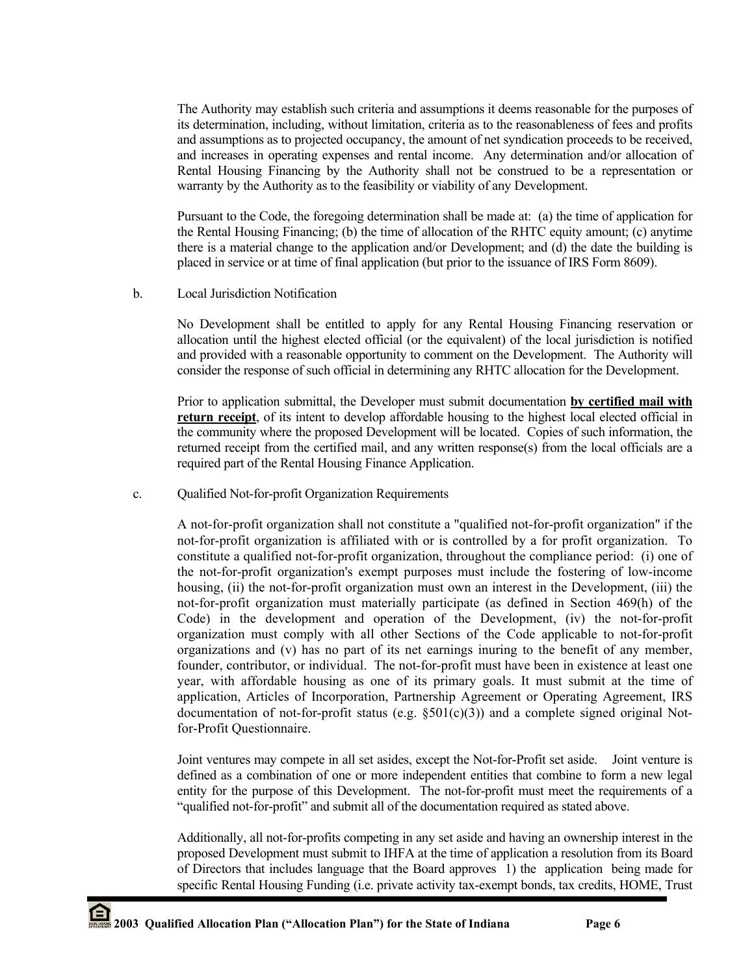The Authority may establish such criteria and assumptions it deems reasonable for the purposes of its determination, including, without limitation, criteria as to the reasonableness of fees and profits and assumptions as to projected occupancy, the amount of net syndication proceeds to be received, and increases in operating expenses and rental income. Any determination and/or allocation of Rental Housing Financing by the Authority shall not be construed to be a representation or warranty by the Authority as to the feasibility or viability of any Development.

Pursuant to the Code, the foregoing determination shall be made at: (a) the time of application for the Rental Housing Financing; (b) the time of allocation of the RHTC equity amount; (c) anytime there is a material change to the application and/or Development; and (d) the date the building is placed in service or at time of final application (but prior to the issuance of IRS Form 8609).

b. Local Jurisdiction Notification

No Development shall be entitled to apply for any Rental Housing Financing reservation or allocation until the highest elected official (or the equivalent) of the local jurisdiction is notified and provided with a reasonable opportunity to comment on the Development. The Authority will consider the response of such official in determining any RHTC allocation for the Development.

Prior to application submittal, the Developer must submit documentation **by certified mail with return receipt**, of its intent to develop affordable housing to the highest local elected official in the community where the proposed Development will be located. Copies of such information, the returned receipt from the certified mail, and any written response(s) from the local officials are a required part of the Rental Housing Finance Application.

c. Qualified Not-for-profit Organization Requirements

A not-for-profit organization shall not constitute a "qualified not-for-profit organization" if the not-for-profit organization is affiliated with or is controlled by a for profit organization. To constitute a qualified not-for-profit organization, throughout the compliance period: (i) one of the not-for-profit organization's exempt purposes must include the fostering of low-income housing, (ii) the not-for-profit organization must own an interest in the Development, (iii) the not-for-profit organization must materially participate (as defined in Section 469(h) of the Code) in the development and operation of the Development, (iv) the not-for-profit organization must comply with all other Sections of the Code applicable to not-for-profit organizations and (v) has no part of its net earnings inuring to the benefit of any member, founder, contributor, or individual. The not-for-profit must have been in existence at least one year, with affordable housing as one of its primary goals. It must submit at the time of application, Articles of Incorporation, Partnership Agreement or Operating Agreement, IRS documentation of not-for-profit status (e.g.  $\S 501(c)(3)$ ) and a complete signed original Notfor-Profit Questionnaire.

Joint ventures may compete in all set asides, except the Not-for-Profit set aside. Joint venture is defined as a combination of one or more independent entities that combine to form a new legal entity for the purpose of this Development. The not-for-profit must meet the requirements of a "qualified not-for-profit" and submit all of the documentation required as stated above.

Additionally, all not-for-profits competing in any set aside and having an ownership interest in the proposed Development must submit to IHFA at the time of application a resolution from its Board of Directors that includes language that the Board approves 1) the application being made for specific Rental Housing Funding (i.e. private activity tax-exempt bonds, tax credits, HOME, Trust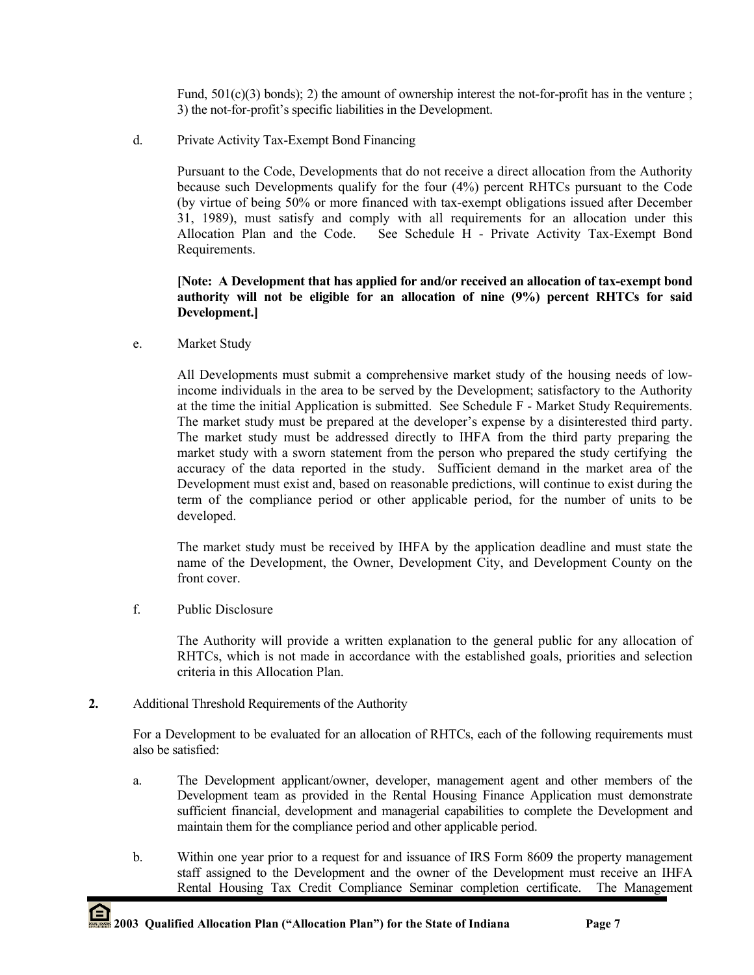Fund,  $501(c)(3)$  bonds); 2) the amount of ownership interest the not-for-profit has in the venture ; 3) the not-for-profit's specific liabilities in the Development.

d. Private Activity Tax-Exempt Bond Financing

Pursuant to the Code, Developments that do not receive a direct allocation from the Authority because such Developments qualify for the four (4%) percent RHTCs pursuant to the Code (by virtue of being 50% or more financed with tax-exempt obligations issued after December 31, 1989), must satisfy and comply with all requirements for an allocation under this Allocation Plan and the Code. See Schedule H - Private Activity Tax-Exempt Bond Requirements.

## **[Note: A Development that has applied for and/or received an allocation of tax-exempt bond authority will not be eligible for an allocation of nine (9%) percent RHTCs for said Development.]**

e. Market Study

All Developments must submit a comprehensive market study of the housing needs of lowincome individuals in the area to be served by the Development; satisfactory to the Authority at the time the initial Application is submitted. See Schedule F - Market Study Requirements. The market study must be prepared at the developer's expense by a disinterested third party. The market study must be addressed directly to IHFA from the third party preparing the market study with a sworn statement from the person who prepared the study certifying the accuracy of the data reported in the study. Sufficient demand in the market area of the Development must exist and, based on reasonable predictions, will continue to exist during the term of the compliance period or other applicable period, for the number of units to be developed.

The market study must be received by IHFA by the application deadline and must state the name of the Development, the Owner, Development City, and Development County on the front cover.

f. Public Disclosure

The Authority will provide a written explanation to the general public for any allocation of RHTCs, which is not made in accordance with the established goals, priorities and selection criteria in this Allocation Plan.

**2.** Additional Threshold Requirements of the Authority

For a Development to be evaluated for an allocation of RHTCs, each of the following requirements must also be satisfied:

- a. The Development applicant/owner, developer, management agent and other members of the Development team as provided in the Rental Housing Finance Application must demonstrate sufficient financial, development and managerial capabilities to complete the Development and maintain them for the compliance period and other applicable period.
- b. Within one year prior to a request for and issuance of IRS Form 8609 the property management staff assigned to the Development and the owner of the Development must receive an IHFA Rental Housing Tax Credit Compliance Seminar completion certificate. The Management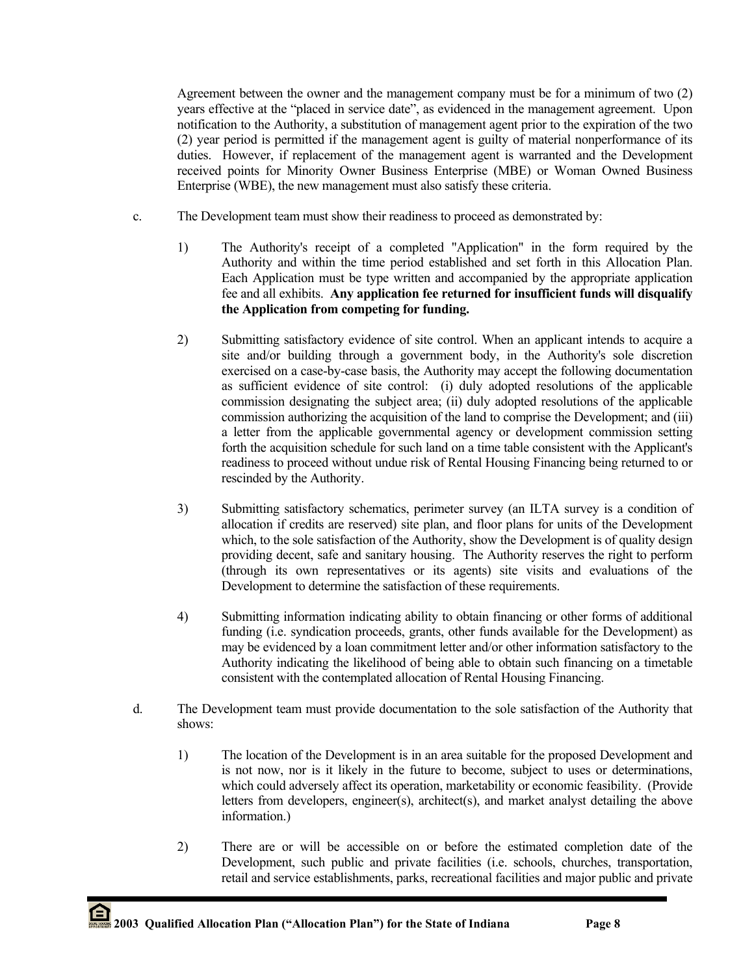Agreement between the owner and the management company must be for a minimum of two (2) years effective at the "placed in service date", as evidenced in the management agreement. Upon notification to the Authority, a substitution of management agent prior to the expiration of the two (2) year period is permitted if the management agent is guilty of material nonperformance of its duties. However, if replacement of the management agent is warranted and the Development received points for Minority Owner Business Enterprise (MBE) or Woman Owned Business Enterprise (WBE), the new management must also satisfy these criteria.

- c. The Development team must show their readiness to proceed as demonstrated by:
	- 1) The Authority's receipt of a completed "Application" in the form required by the Authority and within the time period established and set forth in this Allocation Plan. Each Application must be type written and accompanied by the appropriate application fee and all exhibits. **Any application fee returned for insufficient funds will disqualify the Application from competing for funding.**
	- 2) Submitting satisfactory evidence of site control. When an applicant intends to acquire a site and/or building through a government body, in the Authority's sole discretion exercised on a case-by-case basis, the Authority may accept the following documentation as sufficient evidence of site control: (i) duly adopted resolutions of the applicable commission designating the subject area; (ii) duly adopted resolutions of the applicable commission authorizing the acquisition of the land to comprise the Development; and (iii) a letter from the applicable governmental agency or development commission setting forth the acquisition schedule for such land on a time table consistent with the Applicant's readiness to proceed without undue risk of Rental Housing Financing being returned to or rescinded by the Authority.
	- 3) Submitting satisfactory schematics, perimeter survey (an ILTA survey is a condition of allocation if credits are reserved) site plan, and floor plans for units of the Development which, to the sole satisfaction of the Authority, show the Development is of quality design providing decent, safe and sanitary housing. The Authority reserves the right to perform (through its own representatives or its agents) site visits and evaluations of the Development to determine the satisfaction of these requirements.
	- 4) Submitting information indicating ability to obtain financing or other forms of additional funding (i.e. syndication proceeds, grants, other funds available for the Development) as may be evidenced by a loan commitment letter and/or other information satisfactory to the Authority indicating the likelihood of being able to obtain such financing on a timetable consistent with the contemplated allocation of Rental Housing Financing.
- d. The Development team must provide documentation to the sole satisfaction of the Authority that shows:
	- 1) The location of the Development is in an area suitable for the proposed Development and is not now, nor is it likely in the future to become, subject to uses or determinations, which could adversely affect its operation, marketability or economic feasibility. (Provide letters from developers, engineer(s), architect(s), and market analyst detailing the above information.)
	- 2) There are or will be accessible on or before the estimated completion date of the Development, such public and private facilities (i.e. schools, churches, transportation, retail and service establishments, parks, recreational facilities and major public and private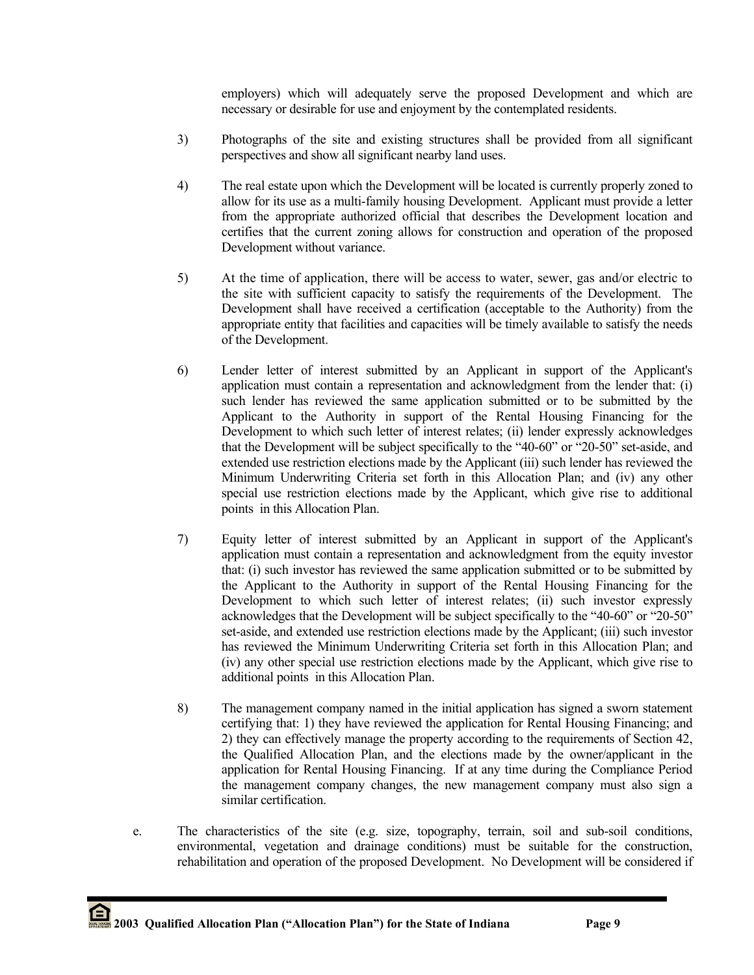employers) which will adequately serve the proposed Development and which are necessary or desirable for use and enjoyment by the contemplated residents.

- 3) Photographs of the site and existing structures shall be provided from all significant perspectives and show all significant nearby land uses.
- 4) The real estate upon which the Development will be located is currently properly zoned to allow for its use as a multi-family housing Development. Applicant must provide a letter from the appropriate authorized official that describes the Development location and certifies that the current zoning allows for construction and operation of the proposed Development without variance.
- 5) At the time of application, there will be access to water, sewer, gas and/or electric to the site with sufficient capacity to satisfy the requirements of the Development. The Development shall have received a certification (acceptable to the Authority) from the appropriate entity that facilities and capacities will be timely available to satisfy the needs of the Development.
- 6) Lender letter of interest submitted by an Applicant in support of the Applicant's application must contain a representation and acknowledgment from the lender that: (i) such lender has reviewed the same application submitted or to be submitted by the Applicant to the Authority in support of the Rental Housing Financing for the Development to which such letter of interest relates; (ii) lender expressly acknowledges that the Development will be subject specifically to the "40-60" or "20-50" set-aside, and extended use restriction elections made by the Applicant (iii) such lender has reviewed the Minimum Underwriting Criteria set forth in this Allocation Plan; and (iv) any other special use restriction elections made by the Applicant, which give rise to additional points in this Allocation Plan.
- 7) Equity letter of interest submitted by an Applicant in support of the Applicant's application must contain a representation and acknowledgment from the equity investor that: (i) such investor has reviewed the same application submitted or to be submitted by the Applicant to the Authority in support of the Rental Housing Financing for the Development to which such letter of interest relates; (ii) such investor expressly acknowledges that the Development will be subject specifically to the "40-60" or "20-50" set-aside, and extended use restriction elections made by the Applicant; (iii) such investor has reviewed the Minimum Underwriting Criteria set forth in this Allocation Plan; and (iv) any other special use restriction elections made by the Applicant, which give rise to additional points in this Allocation Plan.
- 8) The management company named in the initial application has signed a sworn statement certifying that: 1) they have reviewed the application for Rental Housing Financing; and 2) they can effectively manage the property according to the requirements of Section 42, the Qualified Allocation Plan, and the elections made by the owner/applicant in the application for Rental Housing Financing. If at any time during the Compliance Period the management company changes, the new management company must also sign a similar certification.
- e. The characteristics of the site (e.g. size, topography, terrain, soil and sub-soil conditions, environmental, vegetation and drainage conditions) must be suitable for the construction, rehabilitation and operation of the proposed Development. No Development will be considered if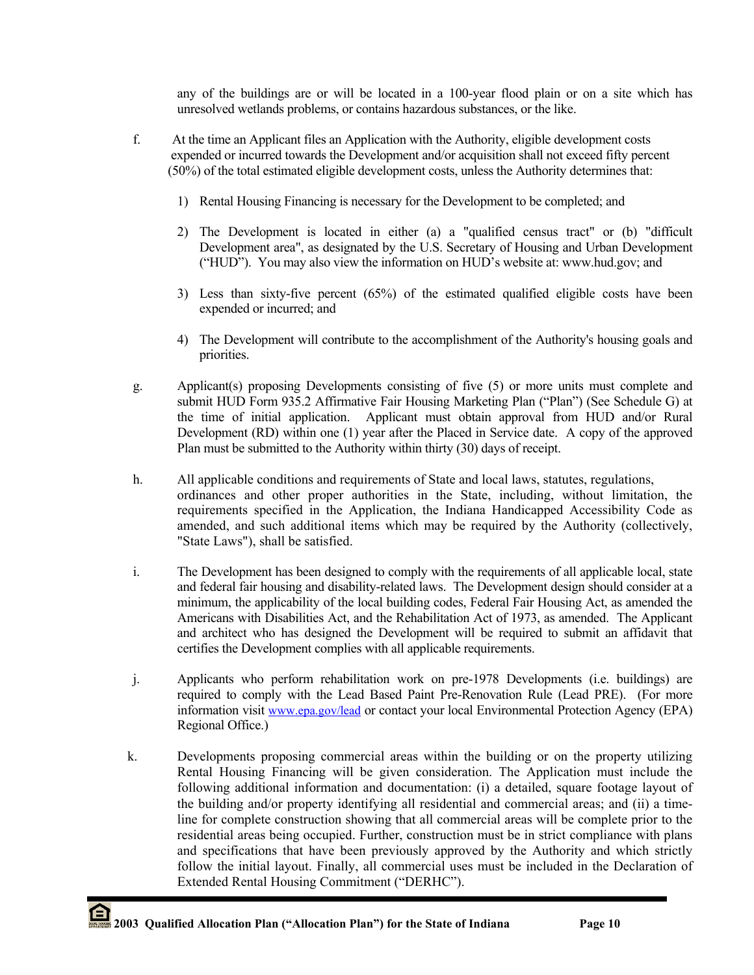any of the buildings are or will be located in a 100-year flood plain or on a site which has unresolved wetlands problems, or contains hazardous substances, or the like.

- f. At the time an Applicant files an Application with the Authority, eligible development costs expended or incurred towards the Development and/or acquisition shall not exceed fifty percent (50%) of the total estimated eligible development costs, unless the Authority determines that:
	- 1) Rental Housing Financing is necessary for the Development to be completed; and
	- 2) The Development is located in either (a) a "qualified census tract" or (b) "difficult Development area", as designated by the U.S. Secretary of Housing and Urban Development ("HUD"). You may also view the information on HUD's website at: www.hud.gov; and
	- 3) Less than sixty-five percent (65%) of the estimated qualified eligible costs have been expended or incurred; and
	- 4) The Development will contribute to the accomplishment of the Authority's housing goals and priorities.
- g. Applicant(s) proposing Developments consisting of five (5) or more units must complete and submit HUD Form 935.2 Affirmative Fair Housing Marketing Plan ("Plan") (See Schedule G) at the time of initial application. Applicant must obtain approval from HUD and/or Rural Development (RD) within one (1) year after the Placed in Service date. A copy of the approved Plan must be submitted to the Authority within thirty (30) days of receipt.
- h. All applicable conditions and requirements of State and local laws, statutes, regulations, ordinances and other proper authorities in the State, including, without limitation, the requirements specified in the Application, the Indiana Handicapped Accessibility Code as amended, and such additional items which may be required by the Authority (collectively, "State Laws"), shall be satisfied.
- i. The Development has been designed to comply with the requirements of all applicable local, state and federal fair housing and disability-related laws. The Development design should consider at a minimum, the applicability of the local building codes, Federal Fair Housing Act, as amended the Americans with Disabilities Act, and the Rehabilitation Act of 1973, as amended. The Applicant and architect who has designed the Development will be required to submit an affidavit that certifies the Development complies with all applicable requirements.
- j. Applicants who perform rehabilitation work on pre-1978 Developments (i.e. buildings) are required to comply with the Lead Based Paint Pre-Renovation Rule (Lead PRE). (For more information visit [www.epa.gov/lead](http://www.epa.gov/lead) or contact your local Environmental Protection Agency (EPA) Regional Office.)
- k. Developments proposing commercial areas within the building or on the property utilizing Rental Housing Financing will be given consideration. The Application must include the following additional information and documentation: (i) a detailed, square footage layout of the building and/or property identifying all residential and commercial areas; and (ii) a timeline for complete construction showing that all commercial areas will be complete prior to the residential areas being occupied. Further, construction must be in strict compliance with plans and specifications that have been previously approved by the Authority and which strictly follow the initial layout. Finally, all commercial uses must be included in the Declaration of Extended Rental Housing Commitment ("DERHC").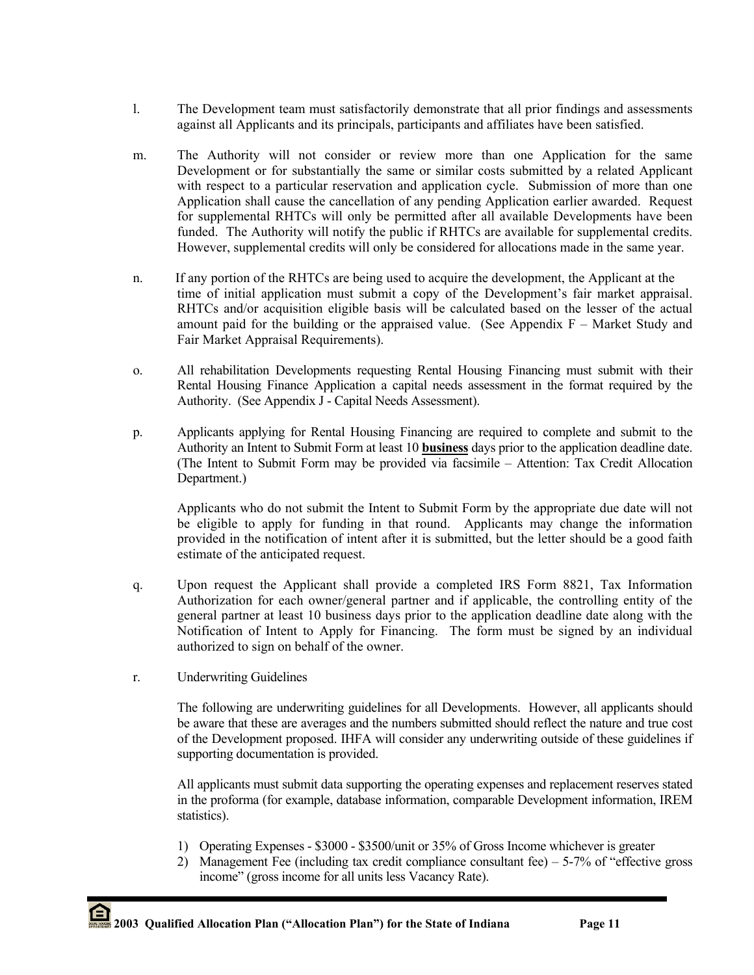- l. The Development team must satisfactorily demonstrate that all prior findings and assessments against all Applicants and its principals, participants and affiliates have been satisfied.
- m. The Authority will not consider or review more than one Application for the same Development or for substantially the same or similar costs submitted by a related Applicant with respect to a particular reservation and application cycle. Submission of more than one Application shall cause the cancellation of any pending Application earlier awarded. Request for supplemental RHTCs will only be permitted after all available Developments have been funded. The Authority will notify the public if RHTCs are available for supplemental credits. However, supplemental credits will only be considered for allocations made in the same year.
- n. If any portion of the RHTCs are being used to acquire the development, the Applicant at the time of initial application must submit a copy of the Development's fair market appraisal. RHTCs and/or acquisition eligible basis will be calculated based on the lesser of the actual amount paid for the building or the appraised value. (See Appendix  $F -$  Market Study and Fair Market Appraisal Requirements).
- o. All rehabilitation Developments requesting Rental Housing Financing must submit with their Rental Housing Finance Application a capital needs assessment in the format required by the Authority. (See [A](http://see/)ppendix J - Capital Needs Assessment).
- p. Applicants applying for Rental Housing Financing are required to complete and submit to the Authority an Intent to Submit Form at least 10 **business** days prior to the application deadline date. (The Intent to Submit Form may be provided via facsimile – Attention: Tax Credit Allocation Department.)

Applicants who do not submit the Intent to Submit Form by the appropriate due date will not be eligible to apply for funding in that round. Applicants may change the information provided in the notification of intent after it is submitted, but the letter should be a good faith estimate of the anticipated request.

- q. Upon request the Applicant shall provide a completed IRS Form 8821, Tax Information Authorization for each owner/general partner and if applicable, the controlling entity of the general partner at least 10 business days prior to the application deadline date along with the Notification of Intent to Apply for Financing. The form must be signed by an individual authorized to sign on behalf of the owner.
- r. Underwriting Guidelines

The following are underwriting guidelines for all Developments. However, all applicants should be aware that these are averages and the numbers submitted should reflect the nature and true cost of the Development proposed. IHFA will consider any underwriting outside of these guidelines if supporting documentation is provided.

All applicants must submit data supporting the operating expenses and replacement reserves stated in the proforma (for example, database information, comparable Development information, IREM statistics).

- 1) Operating Expenses \$3000 \$3500/unit or 35% of Gross Income whichever is greater
- 2) Management Fee (including tax credit compliance consultant fee) 5-7% of "effective gross income" (gross income for all units less Vacancy Rate).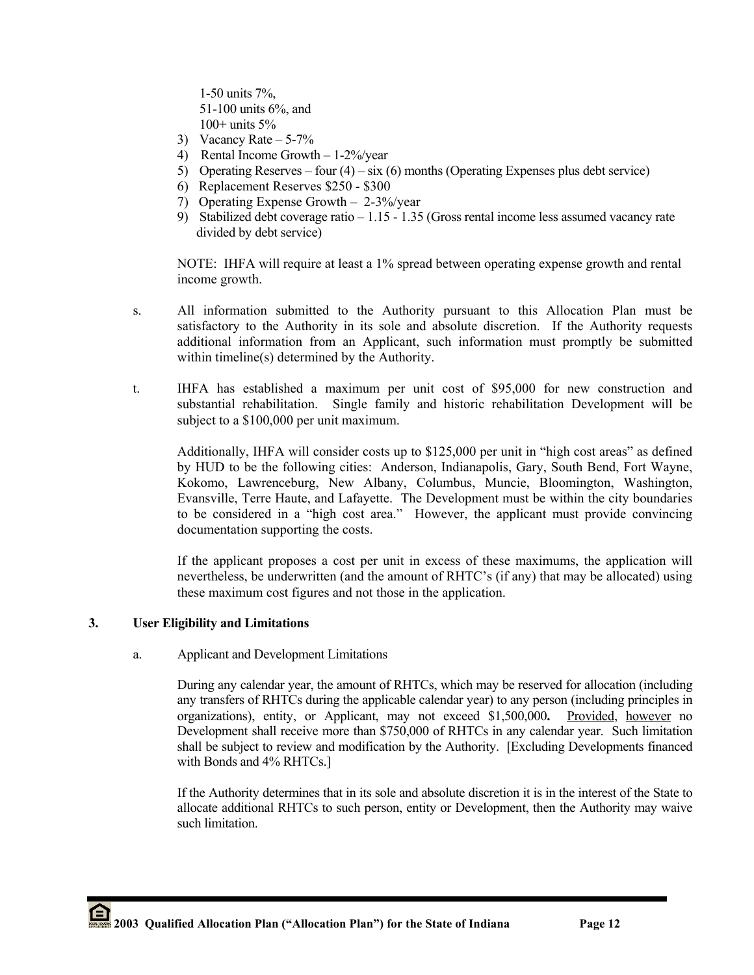1-50 units 7%, 51-100 units 6%, and 100+ units 5%

- 3) Vacancy Rate  $-5-7\%$
- 4) Rental Income Growth 1-2%/year
- 5) Operating Reserves four  $(4)$  six  $(6)$  months (Operating Expenses plus debt service)
- 6) Replacement Reserves \$250 \$300
- 7) Operating Expense Growth 2-3%/year
- 9) Stabilized debt coverage ratio 1.15 1.35 (Gross rental income less assumed vacancy rate divided by debt service)

NOTE: IHFA will require at least a 1% spread between operating expense growth and rental income growth.

- s. All information submitted to the Authority pursuant to this Allocation Plan must be satisfactory to the Authority in its sole and absolute discretion. If the Authority requests additional information from an Applicant, such information must promptly be submitted within timeline(s) determined by the Authority.
- t. IHFA has established a maximum per unit cost of \$95,000 for new construction and substantial rehabilitation. Single family and historic rehabilitation Development will be subject to a \$100,000 per unit maximum.

Additionally, IHFA will consider costs up to \$125,000 per unit in "high cost areas" as defined by HUD to be the following cities: Anderson, Indianapolis, Gary, South Bend, Fort Wayne, Kokomo, Lawrenceburg, New Albany, Columbus, Muncie, Bloomington, Washington, Evansville, Terre Haute, and Lafayette. The Development must be within the city boundaries to be considered in a "high cost area." However, the applicant must provide convincing documentation supporting the costs.

If the applicant proposes a cost per unit in excess of these maximums, the application will nevertheless, be underwritten (and the amount of RHTC's (if any) that may be allocated) using these maximum cost figures and not those in the application.

## **3. User Eligibility and Limitations**

## a. Applicant and Development Limitations

During any calendar year, the amount of RHTCs, which may be reserved for allocation (including any transfers of RHTCs during the applicable calendar year) to any person (including principles in organizations), entity, or Applicant, may not exceed \$1,500,000**.** Provided, however no Development shall receive more than \$750,000 of RHTCs in any calendar year. Such limitation shall be subject to review and modification by the Authority. [Excluding Developments financed with Bonds and 4% RHTCs.]

If the Authority determines that in its sole and absolute discretion it is in the interest of the State to allocate additional RHTCs to such person, entity or Development, then the Authority may waive such limitation.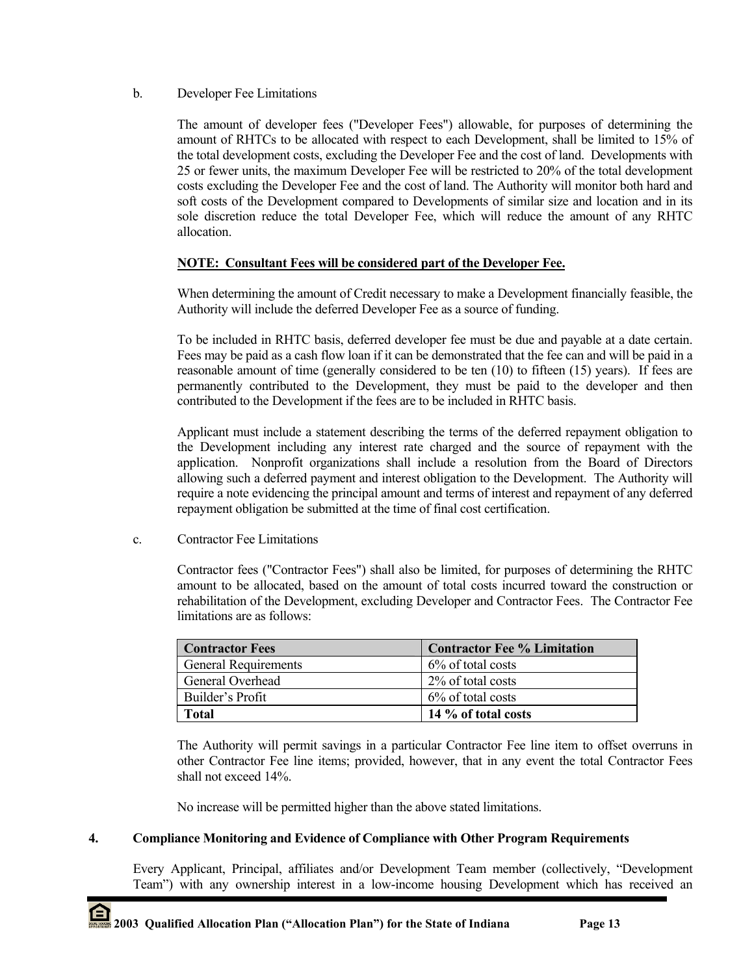## b. Developer Fee Limitations

The amount of developer fees ("Developer Fees") allowable, for purposes of determining the amount of RHTCs to be allocated with respect to each Development, shall be limited to 15% of the total development costs, excluding the Developer Fee and the cost of land. Developments with 25 or fewer units, the maximum Developer Fee will be restricted to 20% of the total development costs excluding the Developer Fee and the cost of land. The Authority will monitor both hard and soft costs of the Development compared to Developments of similar size and location and in its sole discretion reduce the total Developer Fee, which will reduce the amount of any RHTC allocation.

## **NOTE: Consultant Fees will be considered part of the Developer Fee.**

When determining the amount of Credit necessary to make a Development financially feasible, the Authority will include the deferred Developer Fee as a source of funding.

To be included in RHTC basis, deferred developer fee must be due and payable at a date certain. Fees may be paid as a cash flow loan if it can be demonstrated that the fee can and will be paid in a reasonable amount of time (generally considered to be ten (10) to fifteen (15) years). If fees are permanently contributed to the Development, they must be paid to the developer and then contributed to the Development if the fees are to be included in RHTC basis.

Applicant must include a statement describing the terms of the deferred repayment obligation to the Development including any interest rate charged and the source of repayment with the application. Nonprofit organizations shall include a resolution from the Board of Directors allowing such a deferred payment and interest obligation to the Development. The Authority will require a note evidencing the principal amount and terms of interest and repayment of any deferred repayment obligation be submitted at the time of final cost certification.

c. Contractor Fee Limitations

Contractor fees ("Contractor Fees") shall also be limited, for purposes of determining the RHTC amount to be allocated, based on the amount of total costs incurred toward the construction or rehabilitation of the Development, excluding Developer and Contractor Fees. The Contractor Fee limitations are as follows:

| <b>Contractor Fees</b>      | <b>Contractor Fee % Limitation</b> |
|-----------------------------|------------------------------------|
| <b>General Requirements</b> | 6\% of total costs                 |
| General Overhead            | 2\% of total costs                 |
| Builder's Profit            | 6\% of total costs                 |
| Total                       | 14 % of total costs                |

The Authority will permit savings in a particular Contractor Fee line item to offset overruns in other Contractor Fee line items; provided, however, that in any event the total Contractor Fees shall not exceed 14%.

No increase will be permitted higher than the above stated limitations.

## **4. Compliance Monitoring and Evidence of Compliance with Other Program Requirements**

Every Applicant, Principal, affiliates and/or Development Team member (collectively, "Development Team") with any ownership interest in a low-income housing Development which has received an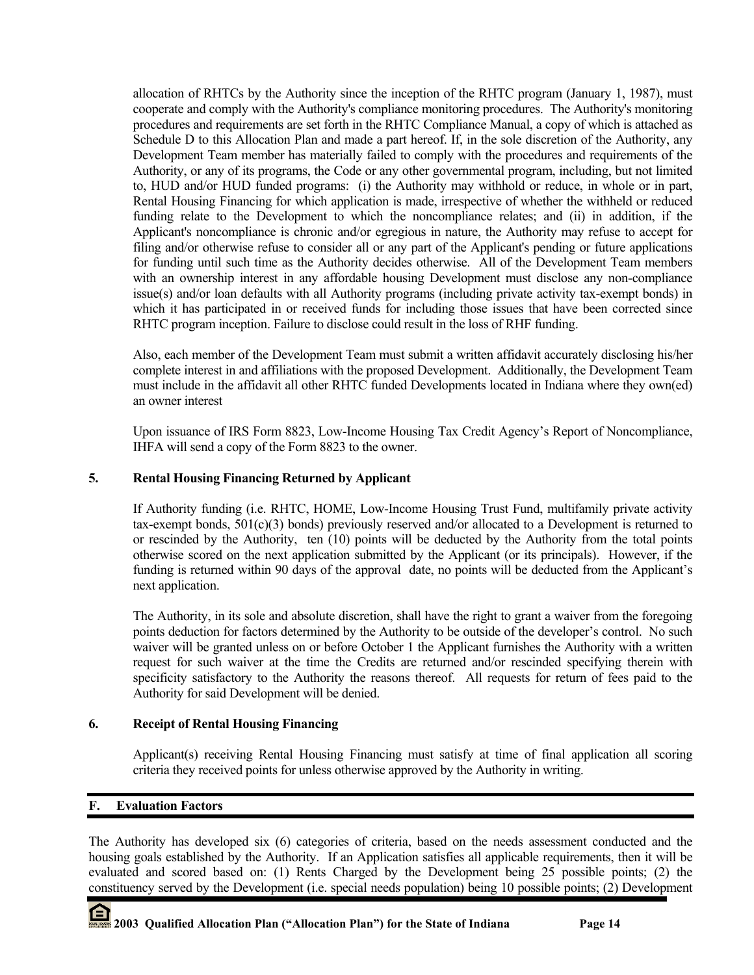allocation of RHTCs by the Authority since the inception of the RHTC program (January 1, 1987), must cooperate and comply with the Authority's compliance monitoring procedures. The Authority's monitoring procedures and requirements are set forth in the RHTC Compliance Manual, a copy of which is attached as Schedule D to this Allocation Plan and made a part hereof. If, in the sole discretion of the Authority, any Development Team member has materially failed to comply with the procedures and requirements of the Authority, or any of its programs, the Code or any other governmental program, including, but not limited to, HUD and/or HUD funded programs: (i) the Authority may withhold or reduce, in whole or in part, Rental Housing Financing for which application is made, irrespective of whether the withheld or reduced funding relate to the Development to which the noncompliance relates; and (ii) in addition, if the Applicant's noncompliance is chronic and/or egregious in nature, the Authority may refuse to accept for filing and/or otherwise refuse to consider all or any part of the Applicant's pending or future applications for funding until such time as the Authority decides otherwise. All of the Development Team members with an ownership interest in any affordable housing Development must disclose any non-compliance issue(s) and/or loan defaults with all Authority programs (including private activity tax-exempt bonds) in which it has participated in or received funds for including those issues that have been corrected since RHTC program inception. Failure to disclose could result in the loss of RHF funding.

Also, each member of the Development Team must submit a written affidavit accurately disclosing his/her complete interest in and affiliations with the proposed Development. Additionally, the Development Team must include in the affidavit all other RHTC funded Developments located in Indiana where they own(ed) an owner interest

Upon issuance of IRS Form 8823, Low-Income Housing Tax Credit Agency's Report of Noncompliance, IHFA will send a copy of the Form 8823 to the owner.

## **5. Rental Housing Financing Returned by Applicant**

If Authority funding (i.e. RHTC, HOME, Low-Income Housing Trust Fund, multifamily private activity tax-exempt bonds, 501(c)(3) bonds) previously reserved and/or allocated to a Development is returned to or rescinded by the Authority, ten (10) points will be deducted by the Authority from the total points otherwise scored on the next application submitted by the Applicant (or its principals). However, if the funding is returned within 90 days of the approval date, no points will be deducted from the Applicant's next application.

The Authority, in its sole and absolute discretion, shall have the right to grant a waiver from the foregoing points deduction for factors determined by the Authority to be outside of the developer's control. No such waiver will be granted unless on or before October 1 the Applicant furnishes the Authority with a written request for such waiver at the time the Credits are returned and/or rescinded specifying therein with specificity satisfactory to the Authority the reasons thereof. All requests for return of fees paid to the Authority for said Development will be denied.

## **6. Receipt of Rental Housing Financing**

Applicant(s) receiving Rental Housing Financing must satisfy at time of final application all scoring criteria they received points for unless otherwise approved by the Authority in writing.

## **F. Evaluation Factors**

The Authority has developed six (6) categories of criteria, based on the needs assessment conducted and the housing goals established by the Authority. If an Application satisfies all applicable requirements, then it will be evaluated and scored based on: (1) Rents Charged by the Development being 25 possible points; (2) the constituency served by the Development (i.e. special needs population) being 10 possible points; (2) Development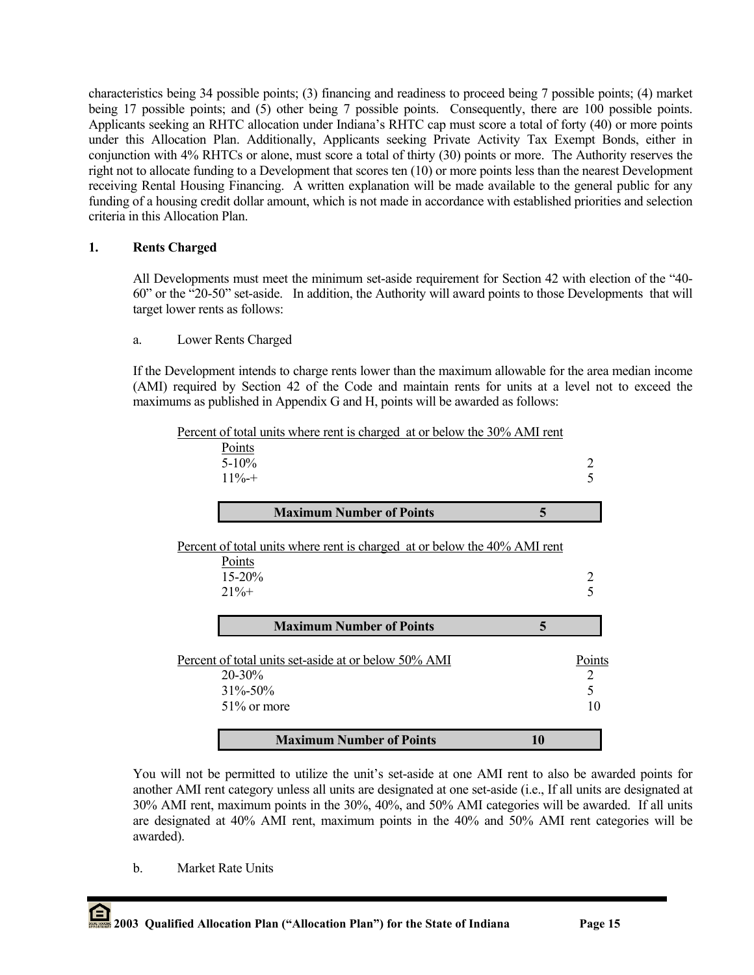characteristics being 34 possible points; (3) financing and readiness to proceed being 7 possible points; (4) market being 17 possible points; and (5) other being 7 possible points. Consequently, there are 100 possible points. Applicants seeking an RHTC allocation under Indiana's RHTC cap must score a total of forty (40) or more points under this Allocation Plan. Additionally, Applicants seeking Private Activity Tax Exempt Bonds, either in conjunction with 4% RHTCs or alone, must score a total of thirty (30) points or more. The Authority reserves the right not to allocate funding to a Development that scores ten (10) or more points less than the nearest Development receiving Rental Housing Financing. A written explanation will be made available to the general public for any funding of a housing credit dollar amount, which is not made in accordance with established priorities and selection criteria in this Allocation Plan.

## **1. Rents Charged**

All Developments must meet the minimum set-aside requirement for Section 42 with election of the "40- 60" or the "20-50" set-aside. In addition, the Authority will award points to those Developments that will target lower rents as follows:

## a. Lower Rents Charged

If the Development intends to charge rents lower than the maximum allowable for the area median income (AMI) required by Section 42 of the Code and maintain rents for units at a level not to exceed the maximums as published in Appendix G and H, points will be awarded as follows:

| <b>Maximum Number of Points</b><br>10                                     |        |
|---------------------------------------------------------------------------|--------|
| 51% or more                                                               | 10     |
| $31\% - 50\%$                                                             | 5      |
| $20 - 30\%$                                                               | 2      |
| Percent of total units set-aside at or below 50% AMI                      | Points |
| <b>Maximum Number of Points</b><br>5                                      |        |
| $21% +$                                                                   | 5      |
| Points<br>$15 - 20%$                                                      | 2      |
| Percent of total units where rent is charged at or below the 40% AMI rent |        |
| <b>Maximum Number of Points</b><br>5                                      |        |
| $11\% +$                                                                  | 5      |
| $5 - 10\%$                                                                | 2      |
| Points                                                                    |        |
| Percent of total units where rent is charged at or below the 30% AMI rent |        |

You will not be permitted to utilize the unit's set-aside at one AMI rent to also be awarded points for another AMI rent category unless all units are designated at one set-aside (i.e., If all units are designated at 30% AMI rent, maximum points in the 30%, 40%, and 50% AMI categories will be awarded. If all units are designated at 40% AMI rent, maximum points in the 40% and 50% AMI rent categories will be awarded).

b. Market Rate Units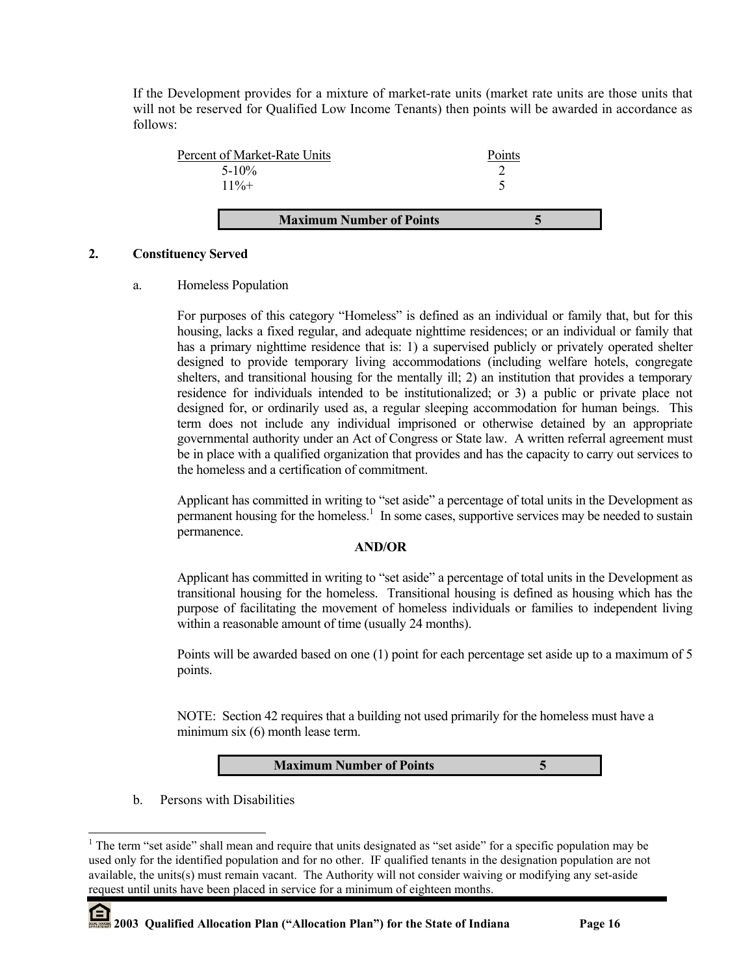If the Development provides for a mixture of market-rate units (market rate units are those units that will not be reserved for Qualified Low Income Tenants) then points will be awarded in accordance as follows:



## **2. Constituency Served**

## a. Homeless Population

For purposes of this category "Homeless" is defined as an individual or family that, but for this housing, lacks a fixed regular, and adequate nighttime residences; or an individual or family that has a primary nighttime residence that is: 1) a supervised publicly or privately operated shelter designed to provide temporary living accommodations (including welfare hotels, congregate shelters, and transitional housing for the mentally ill; 2) an institution that provides a temporary residence for individuals intended to be institutionalized; or 3) a public or private place not designed for, or ordinarily used as, a regular sleeping accommodation for human beings. This term does not include any individual imprisoned or otherwise detained by an appropriate governmental authority under an Act of Congress or State law. A written referral agreement must be in place with a qualified organization that provides and has the capacity to carry out services to the homeless and a certification of commitment.

Applicant has committed in writing to "set aside" a percentage of total units in the Development as  $\hat{\text{per}}$  manent housing for the homeless.<sup>1</sup> In some cases, supportive services may be needed to sustain permanence.

## **AND/OR**

Applicant has committed in writing to "set aside" a percentage of total units in the Development as transitional housing for the homeless. Transitional housing is defined as housing which has the purpose of facilitating the movement of homeless individuals or families to independent living within a reasonable amount of time (usually 24 months).

Points will be awarded based on one (1) point for each percentage set aside up to a maximum of 5 points.

NOTE: Section 42 requires that a building not used primarily for the homeless must have a minimum six  $(6)$  month lease term.

## **Maximum Number of Points 5**

b. Persons with Disabilities

 $\overline{a}$ 

<span id="page-15-0"></span><sup>&</sup>lt;sup>1</sup> The term "set aside" shall mean and require that units designated as "set aside" for a specific population may be used only for the identified population and for no other. IF qualified tenants in the designation population are not available, the units(s) must remain vacant. The Authority will not consider waiving or modifying any set-aside request until units have been placed in service for a minimum of eighteen months.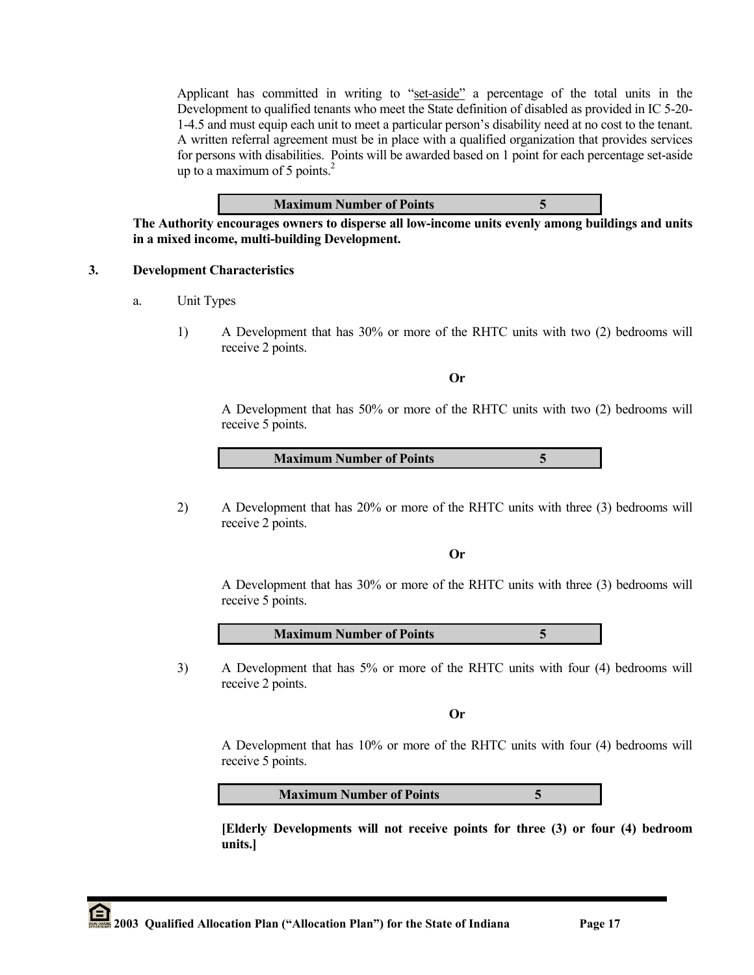Applicant has committed in writing to "set-aside" a percentage of the total units in the Development to qualified tenants who meet the State definition of disabled as provided in IC 5-20- 1-4.5 and must equip each unit to meet a particular person's disability need at no cost to the tenant. A written referral agreement must be in place with a qualified organization that provides services for persons with disabilities. Points will be awarded based on 1 point for each percentage set-aside up to a maximum of 5 points. $^{2}$ 

#### **Maximum Number of Points 5**

**The Authority encourages owners to disperse all low-income units evenly among buildings and units in a mixed income, multi-building Development.** 

#### **3. Development Characteristics**

- a. Unit Types
	- 1) A Development that has 30% or more of the RHTC units with two (2) bedrooms will receive 2 points.

**Or** 

A Development that has 50% or more of the RHTC units with two (2) bedrooms will receive 5 points.

**Maximum Number of Points 5**

2) A Development that has 20% or more of the RHTC units with three (3) bedrooms will receive 2 points.

**Or** 

A Development that has 30% or more of the RHTC units with three (3) bedrooms will receive 5 points.



3) A Development that has 5% or more of the RHTC units with four (4) bedrooms will receive 2 points.

**Or** 

A Development that has 10% or more of the RHTC units with four (4) bedrooms will receive 5 points.

**Maximum Number of Points 5**

 **[Elderly Developments will not receive points for three (3) or four (4) bedroom units.]**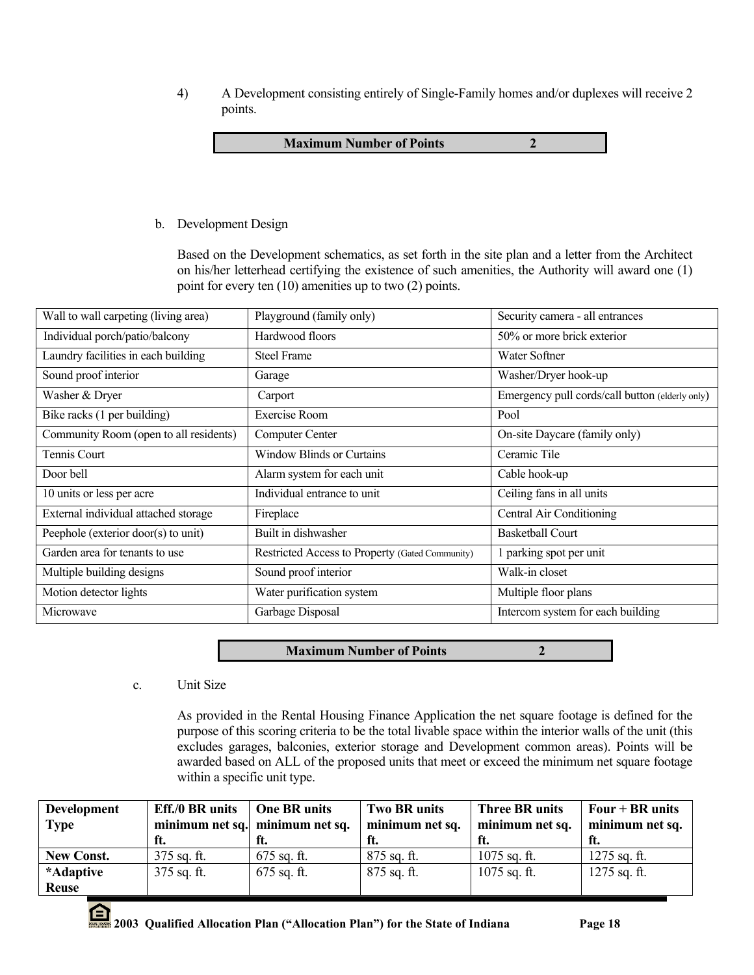4) A Development consisting entirely of Single-Family homes and/or duplexes will receive 2 points.

**Maximum Number of Points 2** 

b. Development Design

Based on the Development schematics, as set forth in the site plan and a letter from the Architect on his/her letterhead certifying the existence of such amenities, the Authority will award one (1) point for every ten (10) amenities up to two (2) points.

| Wall to wall carpeting (living area)   | Playground (family only)                        | Security camera - all entrances                 |
|----------------------------------------|-------------------------------------------------|-------------------------------------------------|
| Individual porch/patio/balcony         | Hardwood floors                                 | 50% or more brick exterior                      |
| Laundry facilities in each building    | <b>Steel Frame</b>                              | Water Softner                                   |
| Sound proof interior                   | Garage                                          | Washer/Dryer hook-up                            |
| Washer & Dryer                         | Carport                                         | Emergency pull cords/call button (elderly only) |
| Bike racks (1 per building)            | Exercise Room                                   | Pool                                            |
| Community Room (open to all residents) | Computer Center                                 | On-site Daycare (family only)                   |
| Tennis Court                           | <b>Window Blinds or Curtains</b>                | Ceramic Tile                                    |
| Door bell                              | Alarm system for each unit                      | Cable hook-up                                   |
| 10 units or less per acre              | Individual entrance to unit                     | Ceiling fans in all units                       |
| External individual attached storage   | Fireplace                                       | Central Air Conditioning                        |
| Peephole (exterior door(s) to unit)    | Built in dishwasher                             | <b>Basketball Court</b>                         |
| Garden area for tenants to use         | Restricted Access to Property (Gated Community) | 1 parking spot per unit                         |
| Multiple building designs              | Sound proof interior                            | Walk-in closet                                  |
| Motion detector lights                 | Water purification system                       | Multiple floor plans                            |
| Microwave                              | Garbage Disposal                                | Intercom system for each building               |

**Maximum Number of Points 2**

c. Unit Size

As provided in the Rental Housing Finance Application the net square footage is defined for the purpose of this scoring criteria to be the total livable space within the interior walls of the unit (this excludes garages, balconies, exterior storage and Development common areas). Points will be awarded based on ALL of the proposed units that meet or exceed the minimum net square footage within a specific unit type.

| <b>Development</b><br><b>Type</b> | <b>Eff./0 BR</b> units<br>ft. | <b>One BR</b> units<br>minimum net sq. minimum net sq. | <b>Two BR units</b><br>minimum net sq. | <b>Three BR units</b><br>minimum net sq.<br>- ft. | Four $+$ BR units<br>minimum net sq. |
|-----------------------------------|-------------------------------|--------------------------------------------------------|----------------------------------------|---------------------------------------------------|--------------------------------------|
| <b>New Const.</b>                 | $375$ sq. ft.                 | $675$ sq. ft.                                          | $875$ sq. ft.                          | $1075$ sq. ft.                                    | $1275$ sq. ft.                       |
| *Adaptive                         | $375$ sq. ft.                 | $675$ sq. ft.                                          | $875$ sq. ft.                          | $1075$ sq. ft.                                    | $1275$ sq. ft.                       |
| <b>Reuse</b>                      |                               |                                                        |                                        |                                                   |                                      |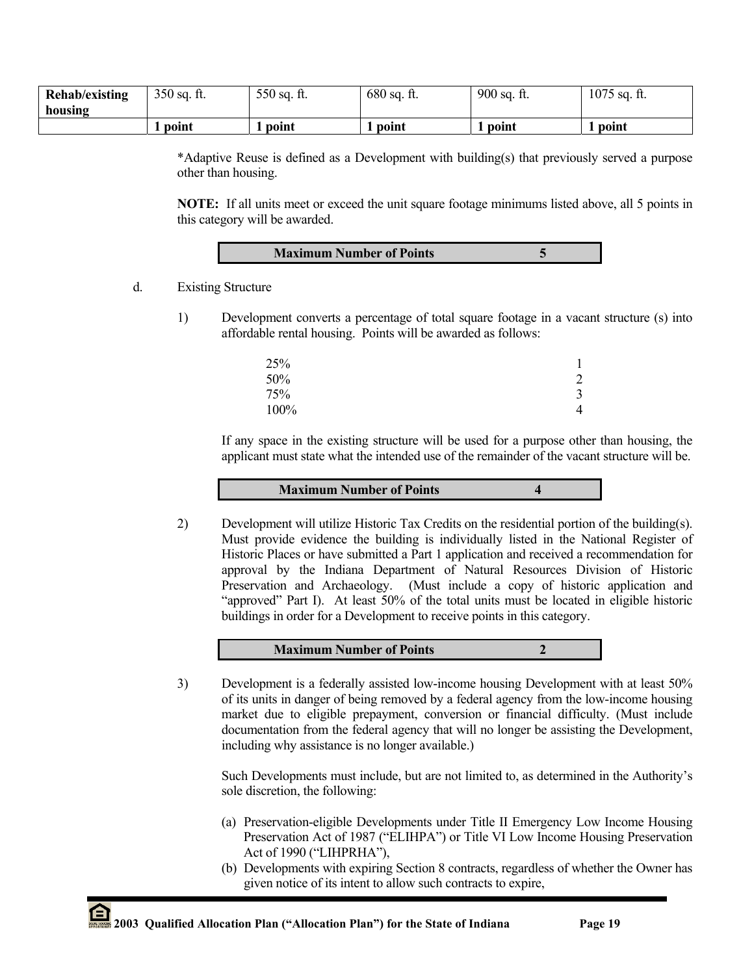| <b>Rehab/existing</b> | $350$ sq. ft. | 550 sq. ft. | $680$ sq. ft. | $900$ sq. ft. | $1075$ sq. ft. |
|-----------------------|---------------|-------------|---------------|---------------|----------------|
| housing               |               |             |               |               |                |
|                       | point         | point       | point         | point         | point          |

\*Adaptive Reuse is defined as a Development with building(s) that previously served a purpose other than housing.

**NOTE:** If all units meet or exceed the unit square footage minimums listed above, all 5 points in this category will be awarded.

| <b>Maximum Number of Points</b> |  |
|---------------------------------|--|
|                                 |  |

- d. Existing Structure
	- 1) Development converts a percentage of total square footage in a vacant structure (s) into affordable rental housing. Points will be awarded as follows:

| 25%  |                |
|------|----------------|
| 50%  | $\overline{2}$ |
| 75%  | 3              |
| 100% | 4              |
|      |                |

If any space in the existing structure will be used for a purpose other than housing, the applicant must state what the intended use of the remainder of the vacant structure will be.

#### **Maximum Number of Points 4**

2) Development will utilize Historic Tax Credits on the residential portion of the building(s). Must provide evidence the building is individually listed in the National Register of Historic Places or have submitted a Part 1 application and received a recommendation for approval by the Indiana Department of Natural Resources Division of Historic Preservation and Archaeology. (Must include a copy of historic application and "approved" Part I). At least 50% of the total units must be located in eligible historic buildings in order for a Development to receive points in this category.

## **Maximum Number of Points** 2

3) Development is a federally assisted low-income housing Development with at least 50% of its units in danger of being removed by a federal agency from the low-income housing market due to eligible prepayment, conversion or financial difficulty. (Must include documentation from the federal agency that will no longer be assisting the Development, including why assistance is no longer available.)

Such Developments must include, but are not limited to, as determined in the Authority's sole discretion, the following:

- (a) Preservation-eligible Developments under Title II Emergency Low Income Housing Preservation Act of 1987 ("ELIHPA") or Title VI Low Income Housing Preservation Act of 1990 ("LIHPRHA"),
- (b) Developments with expiring Section 8 contracts, regardless of whether the Owner has given notice of its intent to allow such contracts to expire,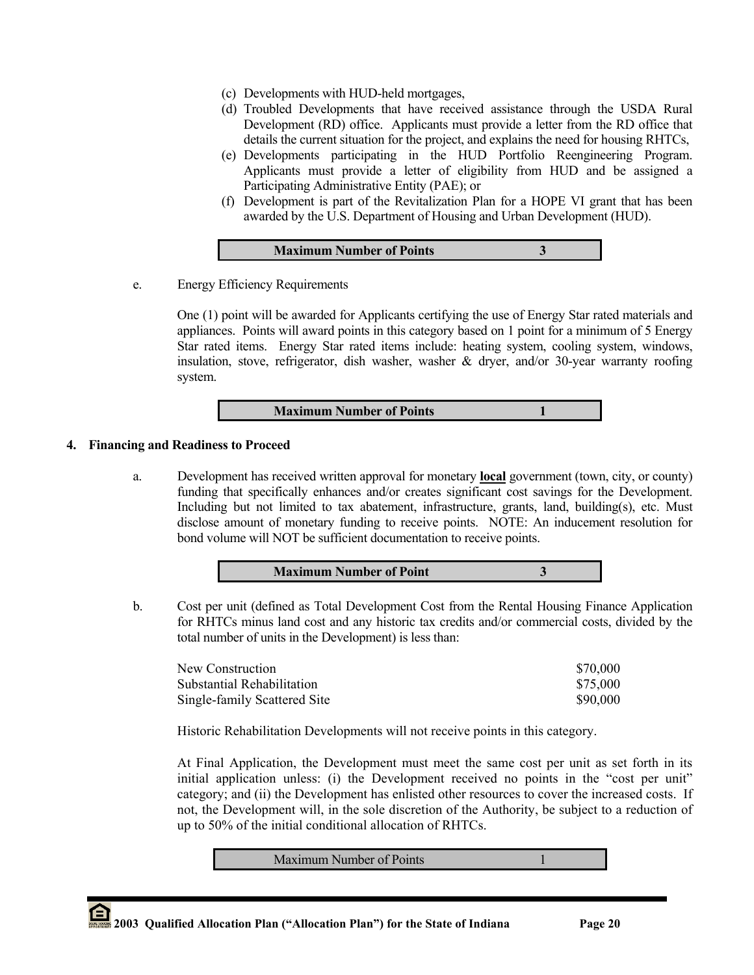- (c) Developments with HUD-held mortgages,
- (d) Troubled Developments that have received assistance through the USDA Rural Development (RD) office. Applicants must provide a letter from the RD office that details the current situation for the project, and explains the need for housing RHTCs,
- (e) Developments participating in the HUD Portfolio Reengineering Program. Applicants must provide a letter of eligibility from HUD and be assigned a Participating Administrative Entity (PAE); or
- (f) Development is part of the Revitalization Plan for a HOPE VI grant that has been awarded by the U.S. Department of Housing and Urban Development (HUD).

e. Energy Efficiency Requirements

One (1) point will be awarded for Applicants certifying the use of Energy Star rated materials and appliances. Points will award points in this category based on 1 point for a minimum of 5 Energy Star rated items. Energy Star rated items include: heating system, cooling system, windows, insulation, stove, refrigerator, dish washer, washer  $\&$  dryer, and/or 30-year warranty roofing system.

## **Maximum Number of Points** 1

## **4. Financing and Readiness to Proceed**

a. Development has received written approval for monetary **local** government (town, city, or county) funding that specifically enhances and/or creates significant cost savings for the Development. Including but not limited to tax abatement, infrastructure, grants, land, building(s), etc. Must disclose amount of monetary funding to receive points. NOTE: An inducement resolution for bond volume will NOT be sufficient documentation to receive points.



b. Cost per unit (defined as Total Development Cost from the Rental Housing Finance Application for RHTCs minus land cost and any historic tax credits and/or commercial costs, divided by the total number of units in the Development) is less than:

| New Construction             | \$70,000 |
|------------------------------|----------|
| Substantial Rehabilitation   | \$75,000 |
| Single-family Scattered Site | \$90,000 |

Historic Rehabilitation Developments will not receive points in this category.

At Final Application, the Development must meet the same cost per unit as set forth in its initial application unless: (i) the Development received no points in the "cost per unit" category; and (ii) the Development has enlisted other resources to cover the increased costs. If not, the Development will, in the sole discretion of the Authority, be subject to a reduction of up to 50% of the initial conditional allocation of RHTCs.

Maximum Number of Points 1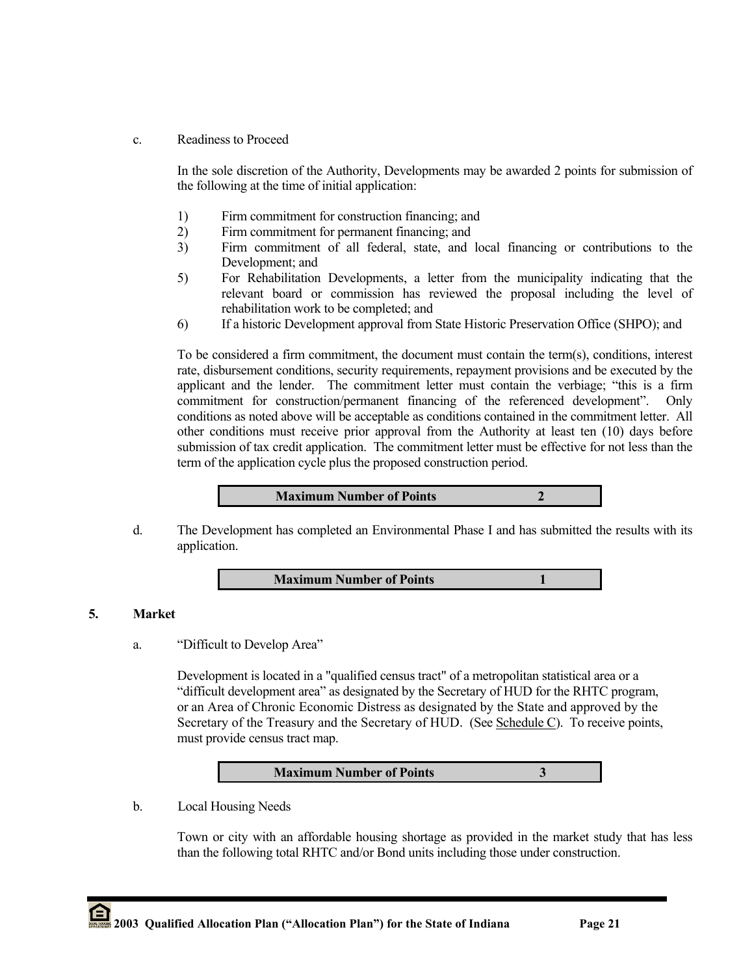c. Readiness to Proceed

In the sole discretion of the Authority, Developments may be awarded 2 points for submission of the following at the time of initial application:

- 1) Firm commitment for construction financing; and
- 2) Firm commitment for permanent financing; and
- 3) Firm commitment of all federal, state, and local financing or contributions to the Development; and
- 5) For Rehabilitation Developments, a letter from the municipality indicating that the relevant board or commission has reviewed the proposal including the level of rehabilitation work to be completed; and
- 6) If a historic Development approval from State Historic Preservation Office (SHPO); and

To be considered a firm commitment, the document must contain the term(s), conditions, interest rate, disbursement conditions, security requirements, repayment provisions and be executed by the applicant and the lender. The commitment letter must contain the verbiage; "this is a firm commitment for construction/permanent financing of the referenced development". Only conditions as noted above will be acceptable as conditions contained in the commitment letter. All other conditions must receive prior approval from the Authority at least ten (10) days before submission of tax credit application. The commitment letter must be effective for not less than the term of the application cycle plus the proposed construction period.



d. The Development has completed an Environmental Phase I and has submitted the results with its application.

## **Maximum Number of Points** 1

## **5. Market**

a. "Difficult to Develop Area"

Development is located in a "qualified census tract" of a metropolitan statistical area or a "difficult development area" as designated by the Secretary of HUD for the RHTC program, or an Area of Chronic Economic Distress as designated by the State and approved by the Secretary of the Treasury and the Secretary of HUD. (See Schedule C). To receive points, must provide census tract map.

| <b>Maximum Number of Points</b> |  |
|---------------------------------|--|
|---------------------------------|--|

b. Local Housing Needs

Town or city with an affordable housing shortage as provided in the market study that has less than the following total RHTC and/or Bond units including those under construction.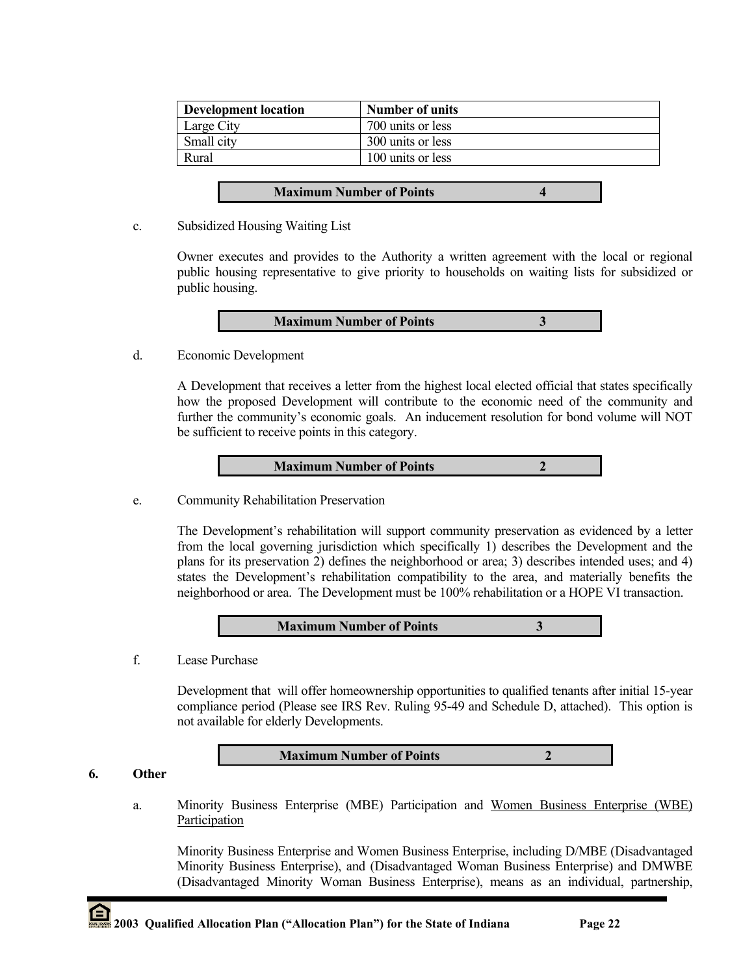| <b>Development location</b> | <b>Number of units</b> |
|-----------------------------|------------------------|
| Large City                  | 700 units or less      |
| Small city                  | 300 units or less      |
| Rural                       | 100 units or less      |

- **Maximum Number of Points 4**
- c. Subsidized Housing Waiting List

Owner executes and provides to the Authority a written agreement with the local or regional public housing representative to give priority to households on waiting lists for subsidized or public housing.

| <b>Maximum Number of Points</b> |
|---------------------------------|
|---------------------------------|

d. Economic Development

A Development that receives a letter from the highest local elected official that states specifically how the proposed Development will contribute to the economic need of the community and further the community's economic goals. An inducement resolution for bond volume will NOT be sufficient to receive points in this category.

| <b>Maximum Number of Points</b> |
|---------------------------------|
|---------------------------------|

e. Community Rehabilitation Preservation

The Development's rehabilitation will support community preservation as evidenced by a letter from the local governing jurisdiction which specifically 1) describes the Development and the plans for its preservation 2) defines the neighborhood or area; 3) describes intended uses; and 4) states the Development's rehabilitation compatibility to the area, and materially benefits the neighborhood or area. The Development must be 100% rehabilitation or a HOPE VI transaction.

**Maximum Number of Points 3**

f. Lease Purchase

Development that will offer homeownership opportunities to qualified tenants after initial 15-year compliance period (Please see IRS Rev. Ruling 95-49 and Schedule D, attached). This option is not available for elderly Developments.

**Maximum Number of Points 2**

**6. Other**

a. Minority Business Enterprise (MBE) Participation and Women Business Enterprise (WBE) Participation

Minority Business Enterprise and Women Business Enterprise, including D/MBE (Disadvantaged Minority Business Enterprise), and (Disadvantaged Woman Business Enterprise) and DMWBE (Disadvantaged Minority Woman Business Enterprise), means as an individual, partnership,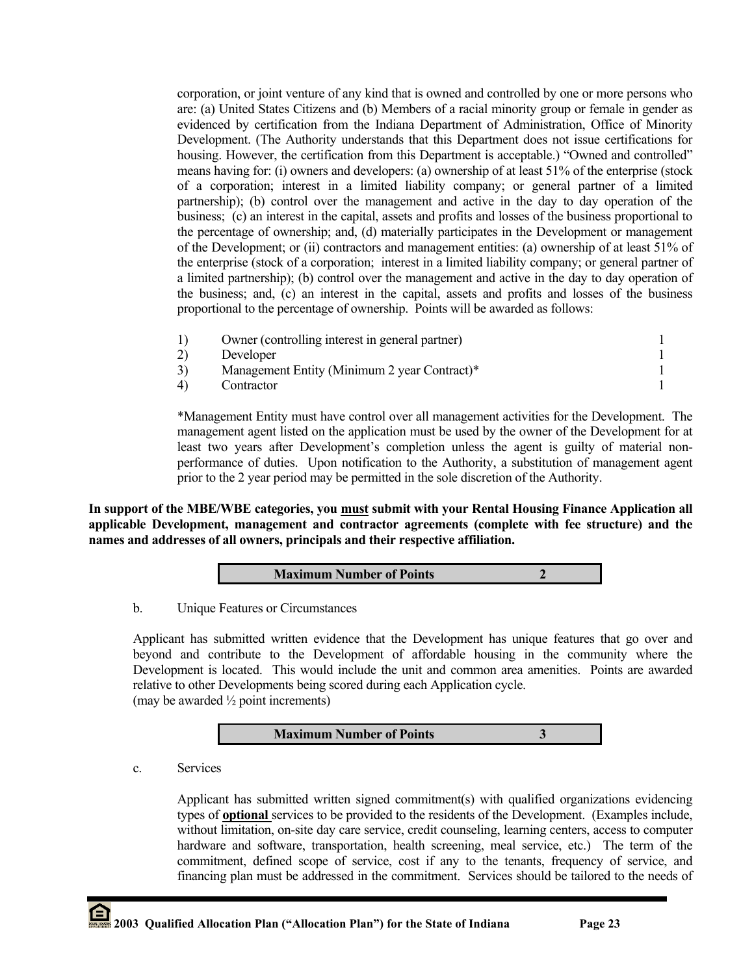corporation, or joint venture of any kind that is owned and controlled by one or more persons who are: (a) United States Citizens and (b) Members of a racial minority group or female in gender as evidenced by certification from the Indiana Department of Administration, Office of Minority Development. (The Authority understands that this Department does not issue certifications for housing. However, the certification from this Department is acceptable.) "Owned and controlled" means having for: (i) owners and developers: (a) ownership of at least 51% of the enterprise (stock of a corporation; interest in a limited liability company; or general partner of a limited partnership); (b) control over the management and active in the day to day operation of the business; (c) an interest in the capital, assets and profits and losses of the business proportional to the percentage of ownership; and, (d) materially participates in the Development or management of the Development; or (ii) contractors and management entities: (a) ownership of at least 51% of the enterprise (stock of a corporation; interest in a limited liability company; or general partner of a limited partnership); (b) control over the management and active in the day to day operation of the business; and, (c) an interest in the capital, assets and profits and losses of the business proportional to the percentage of ownership. Points will be awarded as follows:

| Owner (controlling interest in general partner) |  |
|-------------------------------------------------|--|
| Developer                                       |  |
| Management Entity (Minimum 2 year Contract)*    |  |
| Contractor                                      |  |

\*Management Entity must have control over all management activities for the Development. The management agent listed on the application must be used by the owner of the Development for at least two years after Development's completion unless the agent is guilty of material nonperformance of duties. Upon notification to the Authority, a substitution of management agent prior to the 2 year period may be permitted in the sole discretion of the Authority.

**In support of the MBE/WBE categories, you must submit with your Rental Housing Finance Application all applicable Development, management and contractor agreements (complete with fee structure) and the names and addresses of all owners, principals and their respective affiliation.** 

|--|

b. Unique Features or Circumstances

Applicant has submitted written evidence that the Development has unique features that go over and beyond and contribute to the Development of affordable housing in the community where the Development is located. This would include the unit and common area amenities. Points are awarded relative to other Developments being scored during each Application cycle. (may be awarded ½ point increments)

# **Maximum Number of Points 3**

c. Services

Applicant has submitted written signed commitment(s) with qualified organizations evidencing types of **optional** services to be provided to the residents of the Development. (Examples include, without limitation, on-site day care service, credit counseling, learning centers, access to computer hardware and software, transportation, health screening, meal service, etc.) The term of the commitment, defined scope of service, cost if any to the tenants, frequency of service, and financing plan must be addressed in the commitment. Services should be tailored to the needs of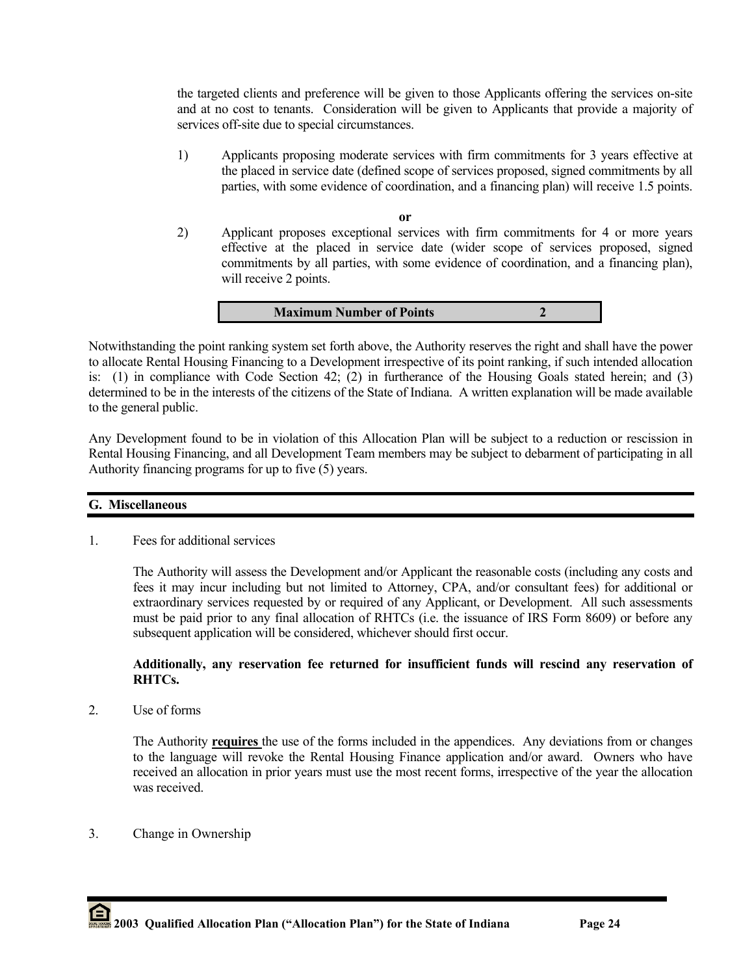the targeted clients and preference will be given to those Applicants offering the services on-site and at no cost to tenants. Consideration will be given to Applicants that provide a majority of services off-site due to special circumstances.

1) Applicants proposing moderate services with firm commitments for 3 years effective at the placed in service date (defined scope of services proposed, signed commitments by all parties, with some evidence of coordination, and a financing plan) will receive 1.5 points.

**or**

2) Applicant proposes exceptional services with firm commitments for 4 or more years effective at the placed in service date (wider scope of services proposed, signed commitments by all parties, with some evidence of coordination, and a financing plan), will receive 2 points.

**Maximum Number of Points 2**

Notwithstanding the point ranking system set forth above, the Authority reserves the right and shall have the power to allocate Rental Housing Financing to a Development irrespective of its point ranking, if such intended allocation is: (1) in compliance with Code Section 42; (2) in furtherance of the Housing Goals stated herein; and (3) determined to be in the interests of the citizens of the State of Indiana. A written explanation will be made available to the general public.

Any Development found to be in violation of this Allocation Plan will be subject to a reduction or rescission in Rental Housing Financing, and all Development Team members may be subject to debarment of participating in all Authority financing programs for up to five (5) years.

## **G. Miscellaneous**

1. Fees for additional services

The Authority will assess the Development and/or Applicant the reasonable costs (including any costs and fees it may incur including but not limited to Attorney, CPA, and/or consultant fees) for additional or extraordinary services requested by or required of any Applicant, or Development. All such assessments must be paid prior to any final allocation of RHTCs (i.e. the issuance of IRS Form 8609) or before any subsequent application will be considered, whichever should first occur.

## **Additionally, any reservation fee returned for insufficient funds will rescind any reservation of RHTCs.**

2. Use of forms

The Authority **requires** the use of the forms included in the appendices. Any deviations from or changes to the language will revoke the Rental Housing Finance application and/or award. Owners who have received an allocation in prior years must use the most recent forms, irrespective of the year the allocation was received.

3. Change in Ownership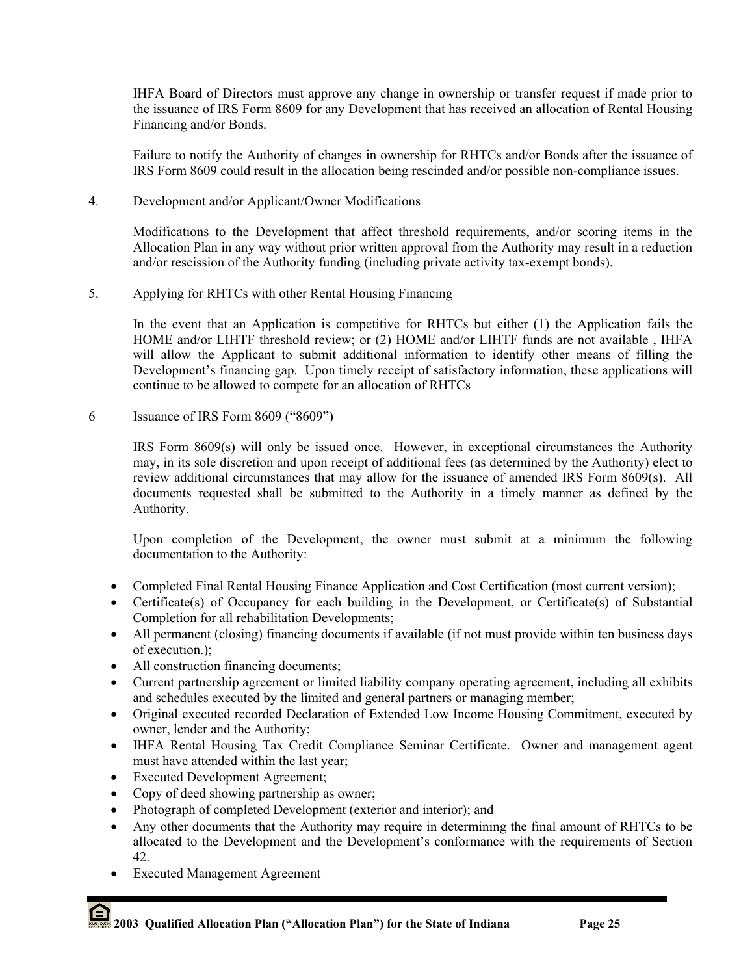IHFA Board of Directors must approve any change in ownership or transfer request if made prior to the issuance of IRS Form 8609 for any Development that has received an allocation of Rental Housing Financing and/or Bonds.

Failure to notify the Authority of changes in ownership for RHTCs and/or Bonds after the issuance of IRS Form 8609 could result in the allocation being rescinded and/or possible non-compliance issues.

4. Development and/or Applicant/Owner Modifications

Modifications to the Development that affect threshold requirements, and/or scoring items in the Allocation Plan in any way without prior written approval from the Authority may result in a reduction and/or rescission of the Authority funding (including private activity tax-exempt bonds).

5. Applying for RHTCs with other Rental Housing Financing

In the event that an Application is competitive for RHTCs but either (1) the Application fails the HOME and/or LIHTF threshold review; or (2) HOME and/or LIHTF funds are not available, IHFA will allow the Applicant to submit additional information to identify other means of filling the Development's financing gap. Upon timely receipt of satisfactory information, these applications will continue to be allowed to compete for an allocation of RHTCs

6 Issuance of IRS Form 8609 ("8609")

IRS Form 8609(s) will only be issued once. However, in exceptional circumstances the Authority may, in its sole discretion and upon receipt of additional fees (as determined by the Authority) elect to review additional circumstances that may allow for the issuance of amended IRS Form 8609(s). All documents requested shall be submitted to the Authority in a timely manner as defined by the Authority.

Upon completion of the Development, the owner must submit at a minimum the following documentation to the Authority:

- Completed Final Rental Housing Finance Application and Cost Certification (most current version);
- Certificate(s) of Occupancy for each building in the Development, or Certificate(s) of Substantial Completion for all rehabilitation Developments;
- All permanent (closing) financing documents if available (if not must provide within ten business days of execution.);
- All construction financing documents;
- Current partnership agreement or limited liability company operating agreement, including all exhibits and schedules executed by the limited and general partners or managing member;
- Original executed recorded Declaration of Extended Low Income Housing Commitment, executed by owner, lender and the Authority;
- IHFA Rental Housing Tax Credit Compliance Seminar Certificate. Owner and management agent must have attended within the last year;
- Executed Development Agreement;
- Copy of deed showing partnership as owner;
- Photograph of completed Development (exterior and interior); and
- Any other documents that the Authority may require in determining the final amount of RHTCs to be allocated to the Development and the Development's conformance with the requirements of Section 42.
- **Executed Management Agreement**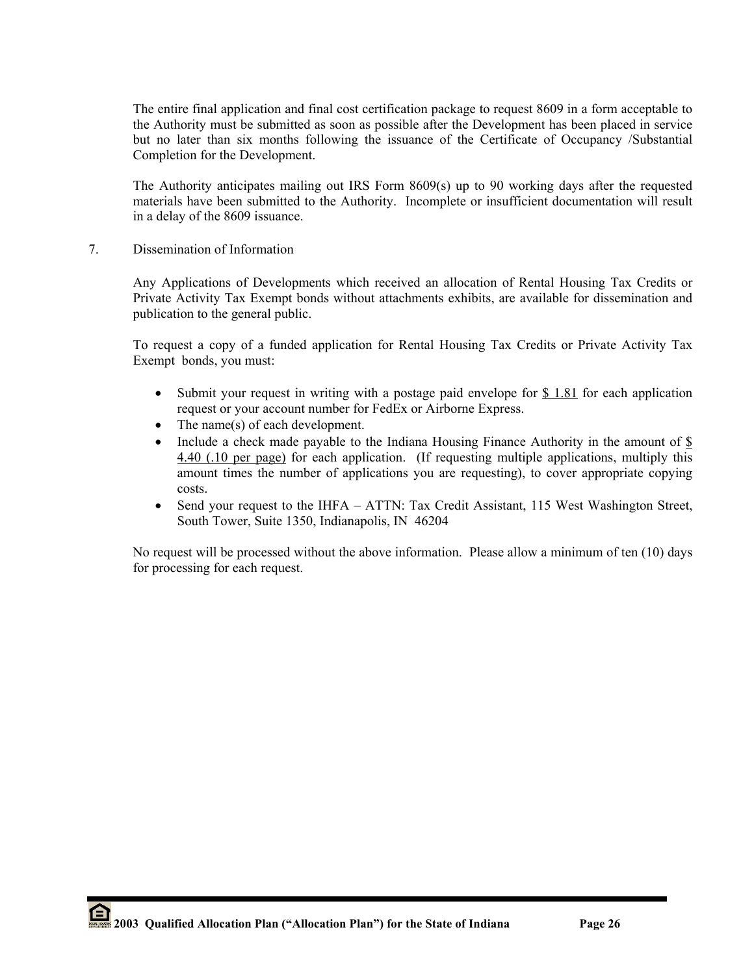The entire final application and final cost certification package to request 8609 in a form acceptable to the Authority must be submitted as soon as possible after the Development has been placed in service but no later than six months following the issuance of the Certificate of Occupancy /Substantial Completion for the Development.

The Authority anticipates mailing out IRS Form 8609(s) up to 90 working days after the requested materials have been submitted to the Authority. Incomplete or insufficient documentation will result in a delay of the 8609 issuance.

7. Dissemination of Information

Any Applications of Developments which received an allocation of Rental Housing Tax Credits or Private Activity Tax Exempt bonds without attachments exhibits, are available for dissemination and publication to the general public.

To request a copy of a funded application for Rental Housing Tax Credits or Private Activity Tax Exempt bonds, you must:

- Submit your request in writing with a postage paid envelope for  $$1.81$  for each application request or your account number for FedEx or Airborne Express.
- The name(s) of each development.
- Include a check made payable to the Indiana Housing Finance Authority in the amount of \$ 4.40 (.10 per page) for each application. (If requesting multiple applications, multiply this amount times the number of applications you are requesting), to cover appropriate copying costs.
- Send your request to the IHFA ATTN: Tax Credit Assistant, 115 West Washington Street, South Tower, Suite 1350, Indianapolis, IN 46204

No request will be processed without the above information. Please allow a minimum of ten (10) days for processing for each request.